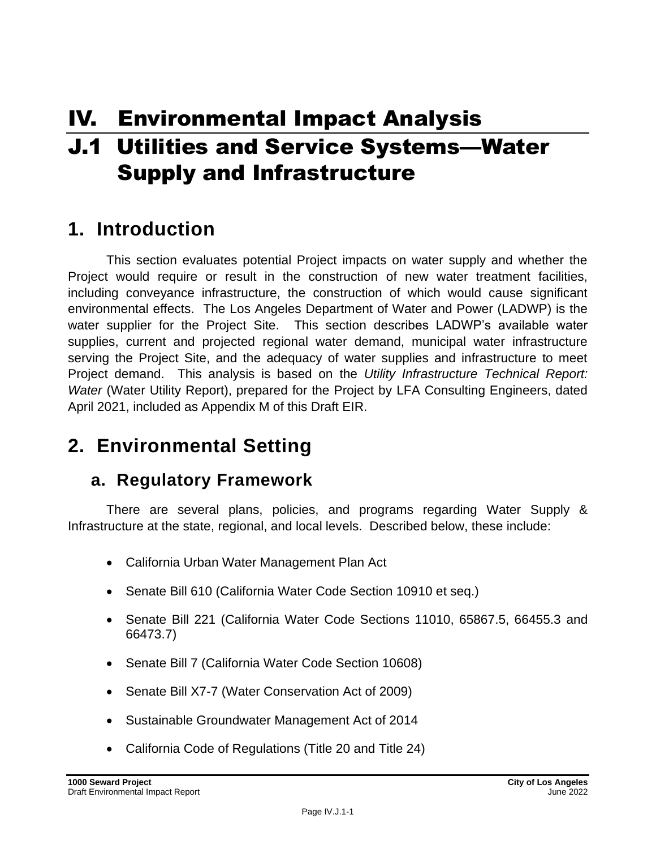# IV. Environmental Impact Analysis

# J.1 Utilities and Service Systems—Water Supply and Infrastructure

# **1. Introduction**

This section evaluates potential Project impacts on water supply and whether the Project would require or result in the construction of new water treatment facilities, including conveyance infrastructure, the construction of which would cause significant environmental effects. The Los Angeles Department of Water and Power (LADWP) is the water supplier for the Project Site. This section describes LADWP's available water supplies, current and projected regional water demand, municipal water infrastructure serving the Project Site, and the adequacy of water supplies and infrastructure to meet Project demand. This analysis is based on the *Utility Infrastructure Technical Report: Water* (Water Utility Report), prepared for the Project by LFA Consulting Engineers, dated April 2021, included as Appendix M of this Draft EIR.

# **2. Environmental Setting**

## **a. Regulatory Framework**

There are several plans, policies, and programs regarding Water Supply & Infrastructure at the state, regional, and local levels. Described below, these include:

- California Urban Water Management Plan Act
- Senate Bill 610 (California Water Code Section 10910 et seq.)
- Senate Bill 221 (California Water Code Sections 11010, 65867.5, 66455.3 and 66473.7)
- Senate Bill 7 (California Water Code Section 10608)
- Senate Bill X7-7 (Water Conservation Act of 2009)
- Sustainable Groundwater Management Act of 2014
- California Code of Regulations (Title 20 and Title 24)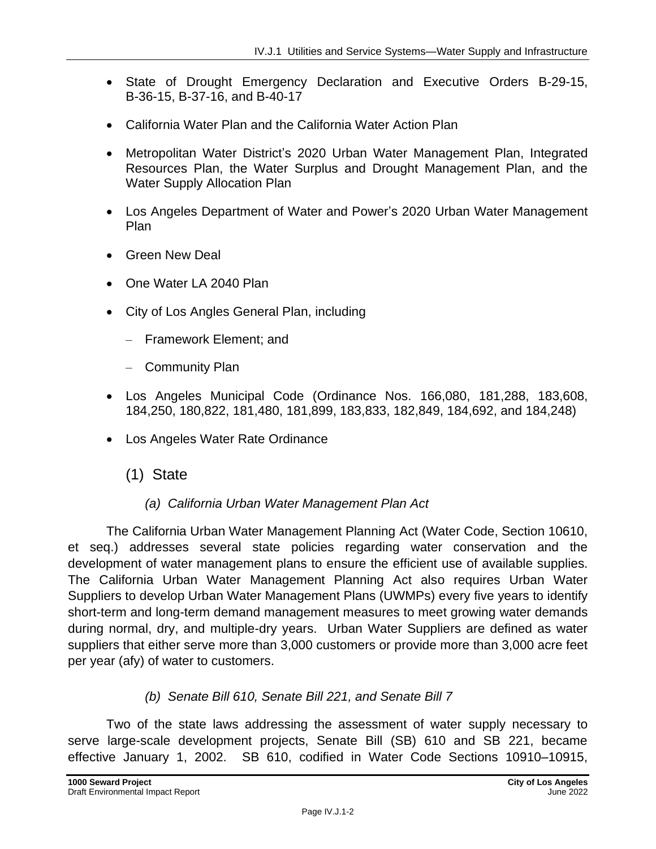- State of Drought Emergency Declaration and Executive Orders B-29-15, B-36-15, B-37-16, and B-40-17
- California Water Plan and the California Water Action Plan
- Metropolitan Water District's 2020 Urban Water Management Plan, Integrated Resources Plan, the Water Surplus and Drought Management Plan, and the Water Supply Allocation Plan
- Los Angeles Department of Water and Power's 2020 Urban Water Management Plan
- Green New Deal
- One Water LA 2040 Plan
- City of Los Angles General Plan, including
	- Framework Element; and
	- Community Plan
- Los Angeles Municipal Code (Ordinance Nos. 166,080, 181,288, 183,608, 184,250, 180,822, 181,480, 181,899, 183,833, 182,849, 184,692, and 184,248)
- Los Angeles Water Rate Ordinance
	- (1) State

#### *(a) California Urban Water Management Plan Act*

The California Urban Water Management Planning Act (Water Code, Section 10610, et seq.) addresses several state policies regarding water conservation and the development of water management plans to ensure the efficient use of available supplies. The California Urban Water Management Planning Act also requires Urban Water Suppliers to develop Urban Water Management Plans (UWMPs) every five years to identify short-term and long-term demand management measures to meet growing water demands during normal, dry, and multiple-dry years. Urban Water Suppliers are defined as water suppliers that either serve more than 3,000 customers or provide more than 3,000 acre feet per year (afy) of water to customers.

#### *(b) Senate Bill 610, Senate Bill 221, and Senate Bill 7*

Two of the state laws addressing the assessment of water supply necessary to serve large-scale development projects, Senate Bill (SB) 610 and SB 221, became effective January 1, 2002. SB 610, codified in Water Code Sections 10910–10915,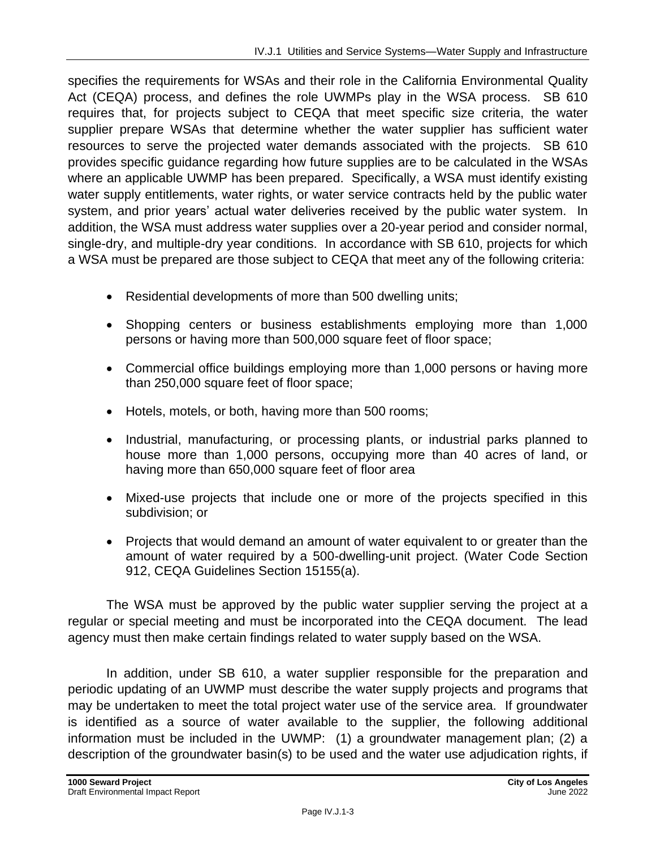specifies the requirements for WSAs and their role in the California Environmental Quality Act (CEQA) process, and defines the role UWMPs play in the WSA process. SB 610 requires that, for projects subject to CEQA that meet specific size criteria, the water supplier prepare WSAs that determine whether the water supplier has sufficient water resources to serve the projected water demands associated with the projects. SB 610 provides specific guidance regarding how future supplies are to be calculated in the WSAs where an applicable UWMP has been prepared. Specifically, a WSA must identify existing water supply entitlements, water rights, or water service contracts held by the public water system, and prior years' actual water deliveries received by the public water system. In addition, the WSA must address water supplies over a 20-year period and consider normal, single-dry, and multiple-dry year conditions. In accordance with SB 610, projects for which a WSA must be prepared are those subject to CEQA that meet any of the following criteria:

- Residential developments of more than 500 dwelling units;
- Shopping centers or business establishments employing more than 1,000 persons or having more than 500,000 square feet of floor space;
- Commercial office buildings employing more than 1,000 persons or having more than 250,000 square feet of floor space;
- Hotels, motels, or both, having more than 500 rooms;
- Industrial, manufacturing, or processing plants, or industrial parks planned to house more than 1,000 persons, occupying more than 40 acres of land, or having more than 650,000 square feet of floor area
- Mixed-use projects that include one or more of the projects specified in this subdivision; or
- Projects that would demand an amount of water equivalent to or greater than the amount of water required by a 500-dwelling-unit project. (Water Code Section 912, CEQA Guidelines Section 15155(a).

The WSA must be approved by the public water supplier serving the project at a regular or special meeting and must be incorporated into the CEQA document. The lead agency must then make certain findings related to water supply based on the WSA.

In addition, under SB 610, a water supplier responsible for the preparation and periodic updating of an UWMP must describe the water supply projects and programs that may be undertaken to meet the total project water use of the service area. If groundwater is identified as a source of water available to the supplier, the following additional information must be included in the UWMP: (1) a groundwater management plan; (2) a description of the groundwater basin(s) to be used and the water use adjudication rights, if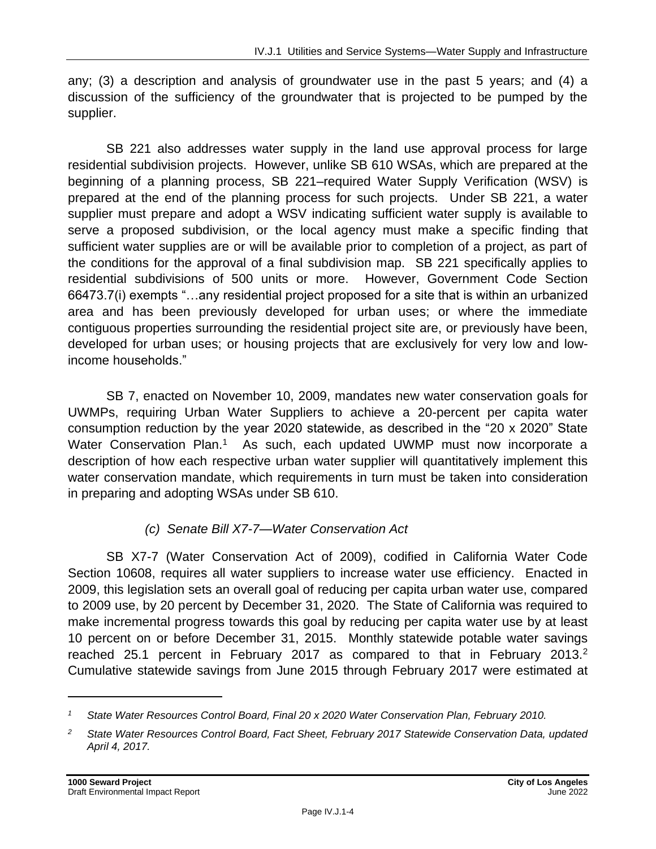any; (3) a description and analysis of groundwater use in the past 5 years; and (4) a discussion of the sufficiency of the groundwater that is projected to be pumped by the supplier.

SB 221 also addresses water supply in the land use approval process for large residential subdivision projects. However, unlike SB 610 WSAs, which are prepared at the beginning of a planning process, SB 221–required Water Supply Verification (WSV) is prepared at the end of the planning process for such projects. Under SB 221, a water supplier must prepare and adopt a WSV indicating sufficient water supply is available to serve a proposed subdivision, or the local agency must make a specific finding that sufficient water supplies are or will be available prior to completion of a project, as part of the conditions for the approval of a final subdivision map. SB 221 specifically applies to residential subdivisions of 500 units or more. However, Government Code Section 66473.7(i) exempts "…any residential project proposed for a site that is within an urbanized area and has been previously developed for urban uses; or where the immediate contiguous properties surrounding the residential project site are, or previously have been, developed for urban uses; or housing projects that are exclusively for very low and lowincome households."

SB 7, enacted on November 10, 2009, mandates new water conservation goals for UWMPs, requiring Urban Water Suppliers to achieve a 20-percent per capita water consumption reduction by the year 2020 statewide, as described in the "20 x 2020" State Water Conservation Plan.<sup>1</sup> As such, each updated UWMP must now incorporate a description of how each respective urban water supplier will quantitatively implement this water conservation mandate, which requirements in turn must be taken into consideration in preparing and adopting WSAs under SB 610.

## *(c) Senate Bill X7-7—Water Conservation Act*

SB X7-7 (Water Conservation Act of 2009), codified in California Water Code Section 10608, requires all water suppliers to increase water use efficiency. Enacted in 2009, this legislation sets an overall goal of reducing per capita urban water use, compared to 2009 use, by 20 percent by December 31, 2020. The State of California was required to make incremental progress towards this goal by reducing per capita water use by at least 10 percent on or before December 31, 2015. Monthly statewide potable water savings reached 25.1 percent in February 2017 as compared to that in February 2013.<sup>2</sup> Cumulative statewide savings from June 2015 through February 2017 were estimated at

*<sup>1</sup> State Water Resources Control Board, Final 20 x 2020 Water Conservation Plan, February 2010.*

*<sup>2</sup> State Water Resources Control Board, Fact Sheet, February 2017 Statewide Conservation Data, updated April 4, 2017.*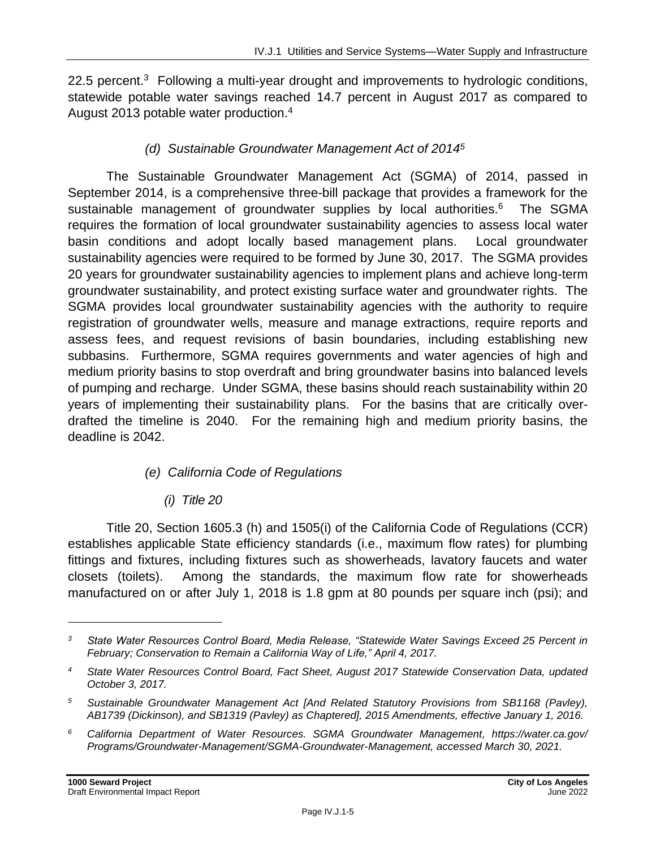22.5 percent.<sup>3</sup> Following a multi-year drought and improvements to hydrologic conditions, statewide potable water savings reached 14.7 percent in August 2017 as compared to August 2013 potable water production.<sup>4</sup>

## *(d) Sustainable Groundwater Management Act of 2014<sup>5</sup>*

The Sustainable Groundwater Management Act (SGMA) of 2014, passed in September 2014, is a comprehensive three-bill package that provides a framework for the sustainable management of groundwater supplies by local authorities.<sup>6</sup> The SGMA requires the formation of local groundwater sustainability agencies to assess local water basin conditions and adopt locally based management plans. Local groundwater sustainability agencies were required to be formed by June 30, 2017. The SGMA provides 20 years for groundwater sustainability agencies to implement plans and achieve long-term groundwater sustainability, and protect existing surface water and groundwater rights. The SGMA provides local groundwater sustainability agencies with the authority to require registration of groundwater wells, measure and manage extractions, require reports and assess fees, and request revisions of basin boundaries, including establishing new subbasins. Furthermore, SGMA requires governments and water agencies of high and medium priority basins to stop overdraft and bring groundwater basins into balanced levels of pumping and recharge. Under SGMA, these basins should reach sustainability within 20 years of implementing their sustainability plans. For the basins that are critically overdrafted the timeline is 2040. For the remaining high and medium priority basins, the deadline is 2042.

## *(e) California Code of Regulations*

## *(i) Title 20*

Title 20, Section 1605.3 (h) and 1505(i) of the California Code of Regulations (CCR) establishes applicable State efficiency standards (i.e., maximum flow rates) for plumbing fittings and fixtures, including fixtures such as showerheads, lavatory faucets and water closets (toilets). Among the standards, the maximum flow rate for showerheads manufactured on or after July 1, 2018 is 1.8 gpm at 80 pounds per square inch (psi); and

*<sup>3</sup> State Water Resources Control Board, Media Release, "Statewide Water Savings Exceed 25 Percent in February; Conservation to Remain a California Way of Life," April 4, 2017.*

*<sup>4</sup> State Water Resources Control Board, Fact Sheet, August 2017 Statewide Conservation Data, updated October 3, 2017.*

*<sup>5</sup> Sustainable Groundwater Management Act [And Related Statutory Provisions from SB1168 (Pavley), AB1739 (Dickinson), and SB1319 (Pavley) as Chaptered], 2015 Amendments, effective January 1, 2016.*

*<sup>6</sup> California Department of Water Resources. SGMA Groundwater Management, https://water.ca.gov/ Programs/Groundwater-Management/SGMA-Groundwater-Management, accessed March 30, 2021.*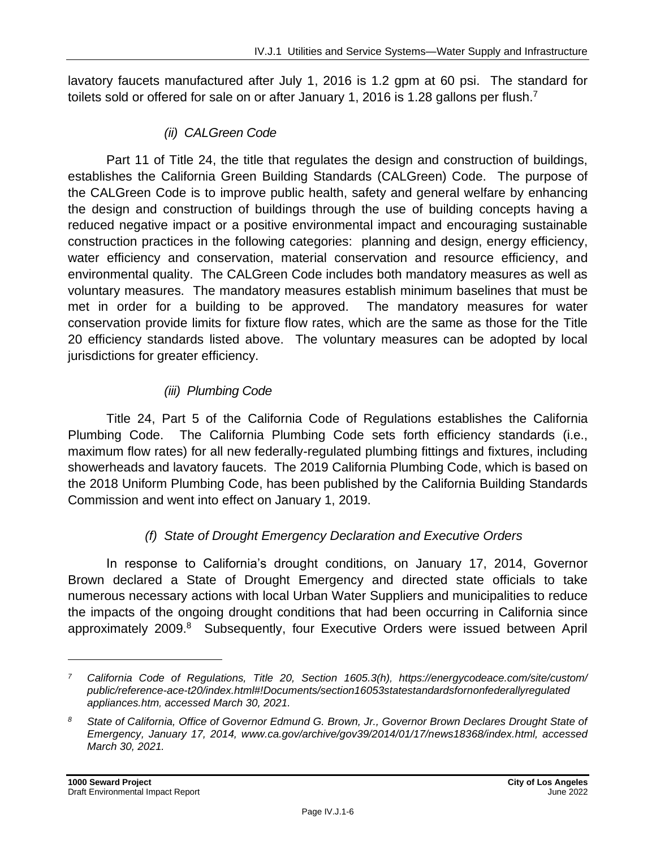lavatory faucets manufactured after July 1, 2016 is 1.2 gpm at 60 psi. The standard for toilets sold or offered for sale on or after January 1, 2016 is 1.28 gallons per flush.<sup>7</sup>

#### *(ii) CALGreen Code*

Part 11 of Title 24, the title that regulates the design and construction of buildings, establishes the California Green Building Standards (CALGreen) Code. The purpose of the CALGreen Code is to improve public health, safety and general welfare by enhancing the design and construction of buildings through the use of building concepts having a reduced negative impact or a positive environmental impact and encouraging sustainable construction practices in the following categories: planning and design, energy efficiency, water efficiency and conservation, material conservation and resource efficiency, and environmental quality. The CALGreen Code includes both mandatory measures as well as voluntary measures. The mandatory measures establish minimum baselines that must be met in order for a building to be approved. The mandatory measures for water conservation provide limits for fixture flow rates, which are the same as those for the Title 20 efficiency standards listed above. The voluntary measures can be adopted by local jurisdictions for greater efficiency.

## *(iii) Plumbing Code*

Title 24, Part 5 of the California Code of Regulations establishes the California Plumbing Code. The California Plumbing Code sets forth efficiency standards (i.e., maximum flow rates) for all new federally-regulated plumbing fittings and fixtures, including showerheads and lavatory faucets. The 2019 California Plumbing Code, which is based on the 2018 Uniform Plumbing Code, has been published by the California Building Standards Commission and went into effect on January 1, 2019.

## *(f) State of Drought Emergency Declaration and Executive Orders*

In response to California's drought conditions, on January 17, 2014, Governor Brown declared a State of Drought Emergency and directed state officials to take numerous necessary actions with local Urban Water Suppliers and municipalities to reduce the impacts of the ongoing drought conditions that had been occurring in California since approximately 2009.<sup>8</sup> Subsequently, four Executive Orders were issued between April

*<sup>7</sup> California Code of Regulations, Title 20, Section 1605.3(h), https://energycodeace.com/site/custom/ public/reference-ace-t20/index.html#!Documents/section16053statestandardsfornonfederallyregulated appliances.htm, accessed March 30, 2021.*

*<sup>8</sup> State of California, Office of Governor Edmund G. Brown, Jr., Governor Brown Declares Drought State of Emergency, January 17, 2014, www.ca.gov/archive/gov39/2014/01/17/news18368/index.html, accessed March 30, 2021.*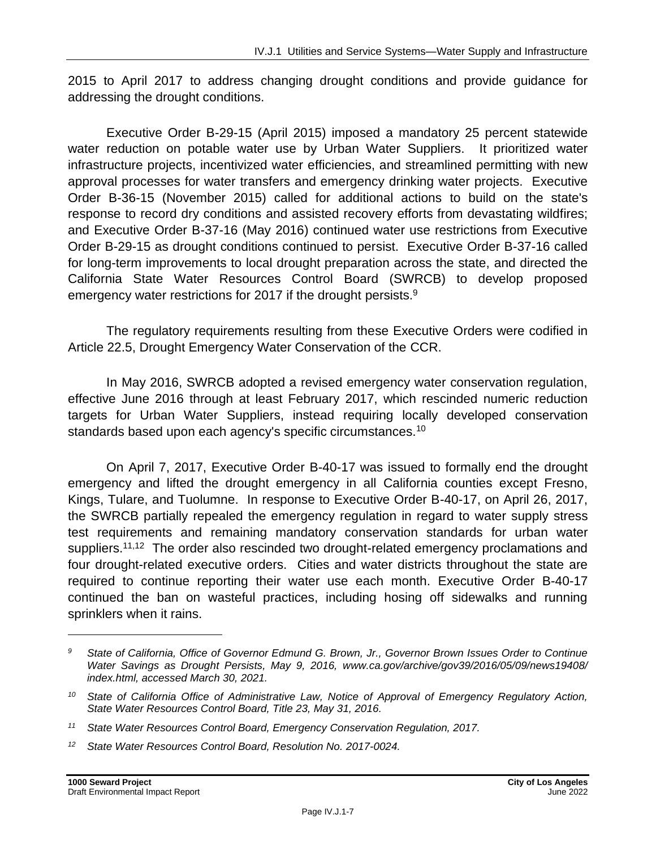2015 to April 2017 to address changing drought conditions and provide guidance for addressing the drought conditions.

Executive Order B-29-15 (April 2015) imposed a mandatory 25 percent statewide water reduction on potable water use by Urban Water Suppliers. It prioritized water infrastructure projects, incentivized water efficiencies, and streamlined permitting with new approval processes for water transfers and emergency drinking water projects. Executive Order B-36-15 (November 2015) called for additional actions to build on the state's response to record dry conditions and assisted recovery efforts from devastating wildfires; and Executive Order B-37-16 (May 2016) continued water use restrictions from Executive Order B-29-15 as drought conditions continued to persist. Executive Order B-37-16 called for long-term improvements to local drought preparation across the state, and directed the California State Water Resources Control Board (SWRCB) to develop proposed emergency water restrictions for 2017 if the drought persists.<sup>9</sup>

The regulatory requirements resulting from these Executive Orders were codified in Article 22.5, Drought Emergency Water Conservation of the CCR.

In May 2016, SWRCB adopted a revised emergency water conservation regulation, effective June 2016 through at least February 2017, which rescinded numeric reduction targets for Urban Water Suppliers, instead requiring locally developed conservation standards based upon each agency's specific circumstances.<sup>10</sup>

On April 7, 2017, Executive Order B-40-17 was issued to formally end the drought emergency and lifted the drought emergency in all California counties except Fresno, Kings, Tulare, and Tuolumne. In response to Executive Order B-40-17, on April 26, 2017, the SWRCB partially repealed the emergency regulation in regard to water supply stress test requirements and remaining mandatory conservation standards for urban water suppliers.<sup>11,12</sup> The order also rescinded two drought-related emergency proclamations and four drought-related executive orders. Cities and water districts throughout the state are required to continue reporting their water use each month. Executive Order B-40-17 continued the ban on wasteful practices, including hosing off sidewalks and running sprinklers when it rains.

*<sup>9</sup> State of California, Office of Governor Edmund G. Brown, Jr., Governor Brown Issues Order to Continue Water Savings as Drought Persists, May 9, 2016, www.ca.gov/archive/gov39/2016/05/09/news19408/ index.html, accessed March 30, 2021.*

*<sup>10</sup> State of California Office of Administrative Law, Notice of Approval of Emergency Regulatory Action, State Water Resources Control Board, Title 23, May 31, 2016.*

*<sup>11</sup> State Water Resources Control Board, Emergency Conservation Regulation, 2017.*

*<sup>12</sup> State Water Resources Control Board, Resolution No. 2017-0024.*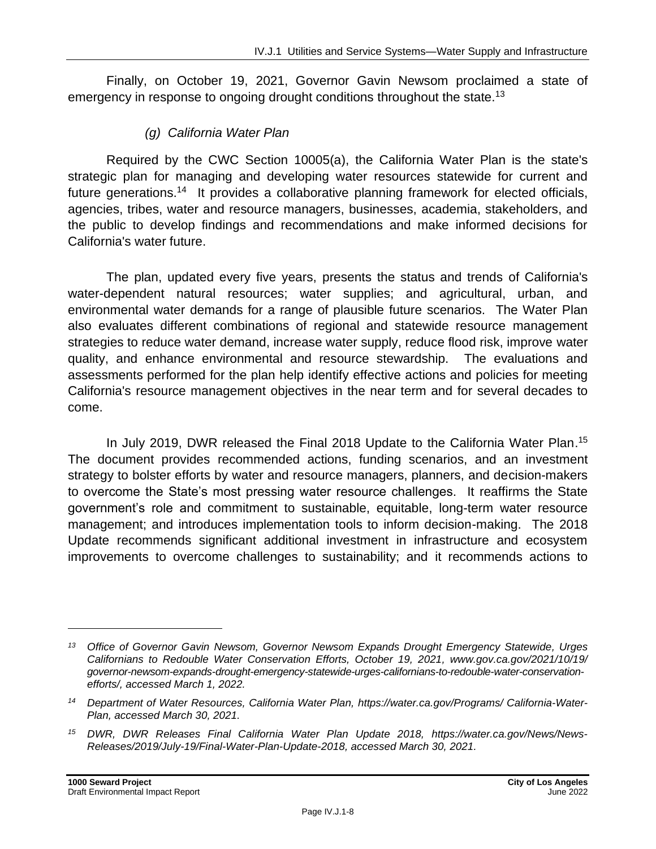Finally, on October 19, 2021, Governor Gavin Newsom proclaimed a state of emergency in response to ongoing drought conditions throughout the state.<sup>13</sup>

#### *(g) California Water Plan*

Required by the CWC Section 10005(a), the California Water Plan is the state's strategic plan for managing and developing water resources statewide for current and future generations.<sup>14</sup> It provides a collaborative planning framework for elected officials, agencies, tribes, water and resource managers, businesses, academia, stakeholders, and the public to develop findings and recommendations and make informed decisions for California's water future.

The plan, updated every five years, presents the status and trends of California's water-dependent natural resources; water supplies; and agricultural, urban, and environmental water demands for a range of plausible future scenarios. The Water Plan also evaluates different combinations of regional and statewide resource management strategies to reduce water demand, increase water supply, reduce flood risk, improve water quality, and enhance environmental and resource stewardship. The evaluations and assessments performed for the plan help identify effective actions and policies for meeting California's resource management objectives in the near term and for several decades to come.

In July 2019, DWR released the Final 2018 Update to the California Water Plan. 15 The document provides recommended actions, funding scenarios, and an investment strategy to bolster efforts by water and resource managers, planners, and decision-makers to overcome the State's most pressing water resource challenges. It reaffirms the State government's role and commitment to sustainable, equitable, long-term water resource management; and introduces implementation tools to inform decision-making. The 2018 Update recommends significant additional investment in infrastructure and ecosystem improvements to overcome challenges to sustainability; and it recommends actions to

*<sup>13</sup> Office of Governor Gavin Newsom, Governor Newsom Expands Drought Emergency Statewide, Urges Californians to Redouble Water Conservation Efforts, October 19, 2021, www.gov.ca.gov/2021/10/19/ governor-newsom-expands-drought-emergency-statewide-urges-californians-to-redouble-water-conservationefforts/, accessed March 1, 2022.*

*<sup>14</sup> Department of Water Resources, California Water Plan, [https://water.ca.gov/Programs/ California-Water-](https://water.ca.gov/Programs/%20California-Water-Plan)[Plan,](https://water.ca.gov/Programs/%20California-Water-Plan) accessed March 30, 2021.*

*<sup>15</sup> DWR, DWR Releases Final California Water Plan Update 2018, [https://water.ca.gov/News/News-](https://water.ca.gov/News/News-Releases/2019/July-19/Final-Water-Plan-Update-2018)[Releases/2019/July-19/Final-Water-Plan-Update-2018,](https://water.ca.gov/News/News-Releases/2019/July-19/Final-Water-Plan-Update-2018) accessed March 30, 2021.*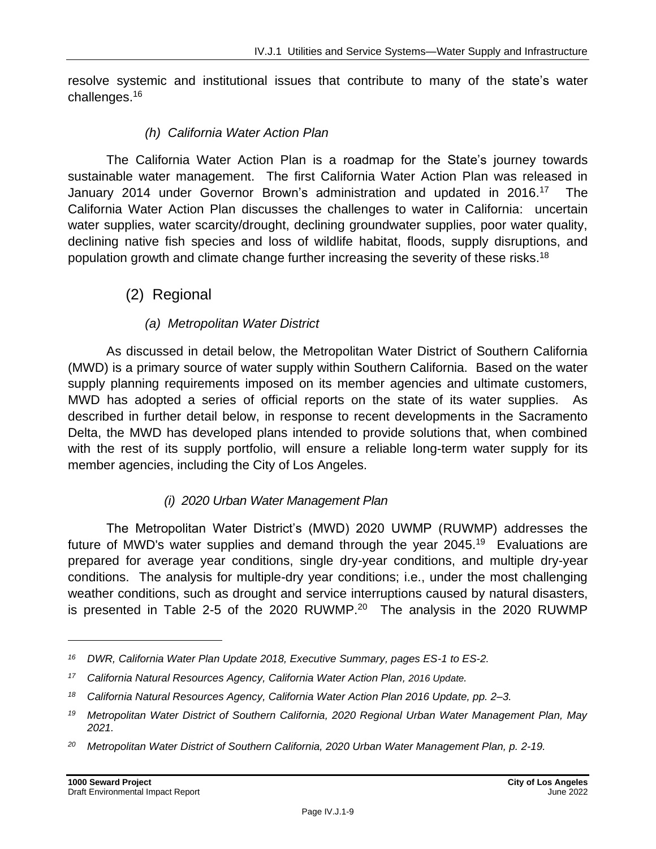resolve systemic and institutional issues that contribute to many of the state's water challenges.<sup>16</sup>

#### *(h) California Water Action Plan*

The California Water Action Plan is a roadmap for the State's journey towards sustainable water management. The first California Water Action Plan was released in January 2014 under Governor Brown's administration and updated in 2016.<sup>17</sup> The California Water Action Plan discusses the challenges to water in California: uncertain water supplies, water scarcity/drought, declining groundwater supplies, poor water quality, declining native fish species and loss of wildlife habitat, floods, supply disruptions, and population growth and climate change further increasing the severity of these risks.<sup>18</sup>

## (2) Regional

#### *(a) Metropolitan Water District*

As discussed in detail below, the Metropolitan Water District of Southern California (MWD) is a primary source of water supply within Southern California. Based on the water supply planning requirements imposed on its member agencies and ultimate customers, MWD has adopted a series of official reports on the state of its water supplies. As described in further detail below, in response to recent developments in the Sacramento Delta, the MWD has developed plans intended to provide solutions that, when combined with the rest of its supply portfolio, will ensure a reliable long-term water supply for its member agencies, including the City of Los Angeles.

#### *(i) 2020 Urban Water Management Plan*

The Metropolitan Water District's (MWD) 2020 UWMP (RUWMP) addresses the future of MWD's water supplies and demand through the year  $2045.^{19}$  Evaluations are prepared for average year conditions, single dry-year conditions, and multiple dry-year conditions. The analysis for multiple-dry year conditions; i.e., under the most challenging weather conditions, such as drought and service interruptions caused by natural disasters, is presented in Table 2-5 of the 2020 RUWMP.<sup>20</sup> The analysis in the 2020 RUWMP

*<sup>16</sup> DWR, California Water Plan Update 2018, Executive Summary, pages ES-1 to ES-2.*

*<sup>17</sup> California Natural Resources Agency, California Water Action Plan, [2016](http://resources.ca.gov/california_water_action_plan/) Update.*

*<sup>18</sup> California Natural Resources Agency, California Water Action Plan 2016 Update, pp. 2–3.*

*<sup>19</sup> Metropolitan Water District of Southern California, 2020 Regional Urban Water Management Plan, May 2021.*

*<sup>20</sup> Metropolitan Water District of Southern California, 2020 Urban Water Management Plan, p. 2-19.*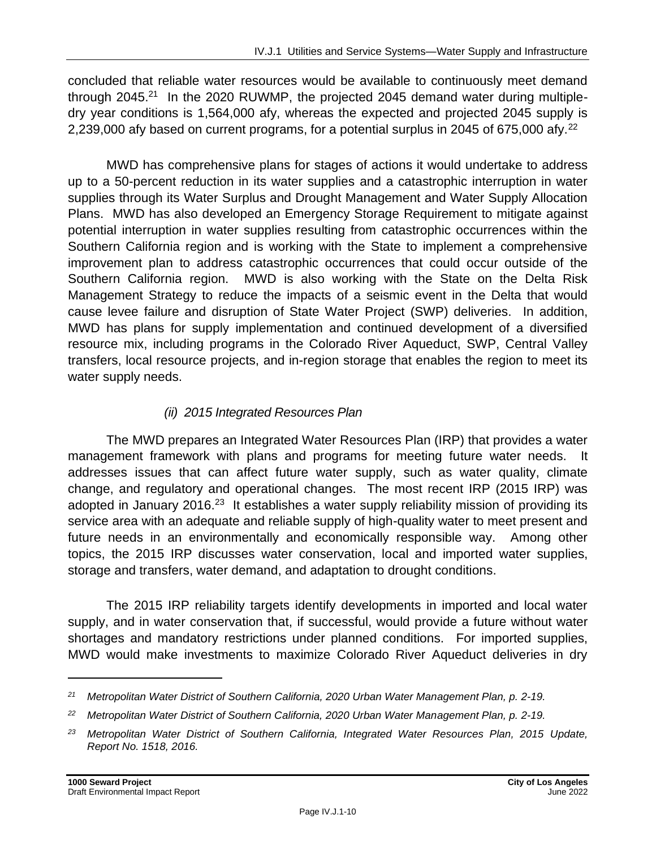concluded that reliable water resources would be available to continuously meet demand through 2045.<sup>21</sup> In the 2020 RUWMP, the projected 2045 demand water during multipledry year conditions is 1,564,000 afy, whereas the expected and projected 2045 supply is 2,239,000 afy based on current programs, for a potential surplus in 2045 of 675,000 afy.<sup>22</sup>

MWD has comprehensive plans for stages of actions it would undertake to address up to a 50-percent reduction in its water supplies and a catastrophic interruption in water supplies through its Water Surplus and Drought Management and Water Supply Allocation Plans. MWD has also developed an Emergency Storage Requirement to mitigate against potential interruption in water supplies resulting from catastrophic occurrences within the Southern California region and is working with the State to implement a comprehensive improvement plan to address catastrophic occurrences that could occur outside of the Southern California region. MWD is also working with the State on the Delta Risk Management Strategy to reduce the impacts of a seismic event in the Delta that would cause levee failure and disruption of State Water Project (SWP) deliveries. In addition, MWD has plans for supply implementation and continued development of a diversified resource mix, including programs in the Colorado River Aqueduct, SWP, Central Valley transfers, local resource projects, and in-region storage that enables the region to meet its water supply needs.

#### *(ii) 2015 Integrated Resources Plan*

The MWD prepares an Integrated Water Resources Plan (IRP) that provides a water management framework with plans and programs for meeting future water needs. It addresses issues that can affect future water supply, such as water quality, climate change, and regulatory and operational changes. The most recent IRP (2015 IRP) was adopted in January 2016.<sup>23</sup> It establishes a water supply reliability mission of providing its service area with an adequate and reliable supply of high-quality water to meet present and future needs in an environmentally and economically responsible way. Among other topics, the 2015 IRP discusses water conservation, local and imported water supplies, storage and transfers, water demand, and adaptation to drought conditions.

The 2015 IRP reliability targets identify developments in imported and local water supply, and in water conservation that, if successful, would provide a future without water shortages and mandatory restrictions under planned conditions. For imported supplies, MWD would make investments to maximize Colorado River Aqueduct deliveries in dry

*<sup>21</sup> Metropolitan Water District of Southern California, 2020 Urban Water Management Plan, p. 2-19.*

*<sup>22</sup> Metropolitan Water District of Southern California, 2020 Urban Water Management Plan, p. 2-19.*

*<sup>23</sup> Metropolitan Water District of Southern California, Integrated Water Resources Plan, 2015 Update, Report No. 1518, 2016.*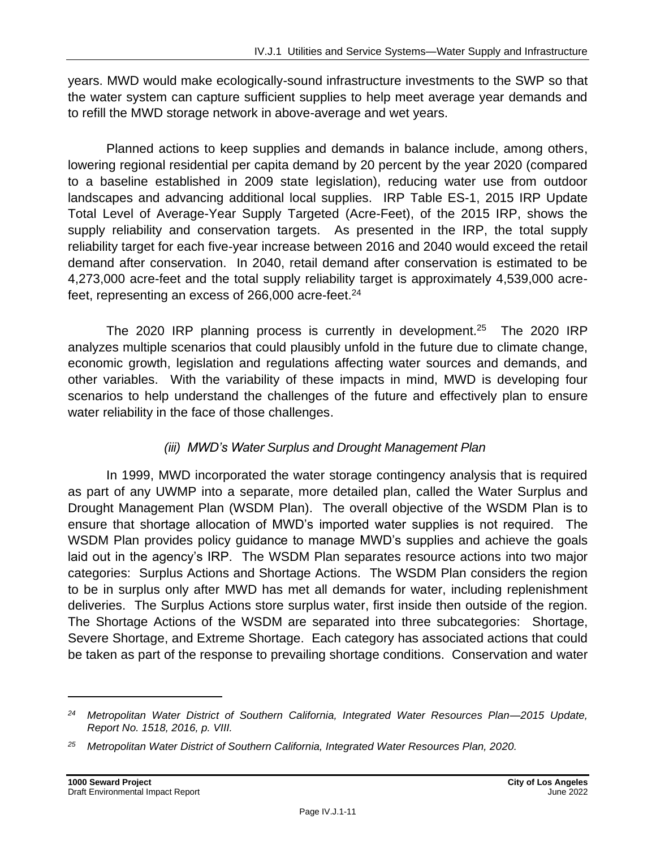years. MWD would make ecologically-sound infrastructure investments to the SWP so that the water system can capture sufficient supplies to help meet average year demands and to refill the MWD storage network in above-average and wet years.

Planned actions to keep supplies and demands in balance include, among others, lowering regional residential per capita demand by 20 percent by the year 2020 (compared to a baseline established in 2009 state legislation), reducing water use from outdoor landscapes and advancing additional local supplies. IRP Table ES-1, 2015 IRP Update Total Level of Average-Year Supply Targeted (Acre-Feet), of the 2015 IRP, shows the supply reliability and conservation targets. As presented in the IRP, the total supply reliability target for each five-year increase between 2016 and 2040 would exceed the retail demand after conservation. In 2040, retail demand after conservation is estimated to be 4,273,000 acre-feet and the total supply reliability target is approximately 4,539,000 acrefeet, representing an excess of  $266,000$  acre-feet.<sup>24</sup>

The 2020 IRP planning process is currently in development.<sup>25</sup> The 2020 IRP analyzes multiple scenarios that could plausibly unfold in the future due to climate change, economic growth, legislation and regulations affecting water sources and demands, and other variables. With the variability of these impacts in mind, MWD is developing four scenarios to help understand the challenges of the future and effectively plan to ensure water reliability in the face of those challenges.

## *(iii) MWD's Water Surplus and Drought Management Plan*

In 1999, MWD incorporated the water storage contingency analysis that is required as part of any UWMP into a separate, more detailed plan, called the Water Surplus and Drought Management Plan (WSDM Plan). The overall objective of the WSDM Plan is to ensure that shortage allocation of MWD's imported water supplies is not required. The WSDM Plan provides policy guidance to manage MWD's supplies and achieve the goals laid out in the agency's IRP. The WSDM Plan separates resource actions into two major categories: Surplus Actions and Shortage Actions. The WSDM Plan considers the region to be in surplus only after MWD has met all demands for water, including replenishment deliveries. The Surplus Actions store surplus water, first inside then outside of the region. The Shortage Actions of the WSDM are separated into three subcategories: Shortage, Severe Shortage, and Extreme Shortage. Each category has associated actions that could be taken as part of the response to prevailing shortage conditions. Conservation and water

*<sup>24</sup> Metropolitan Water District of Southern California, Integrated Water Resources Plan—2015 Update, Report No. 1518, 2016, p. VIII.*

*<sup>25</sup> Metropolitan Water District of Southern California, Integrated Water Resources Plan, 2020.*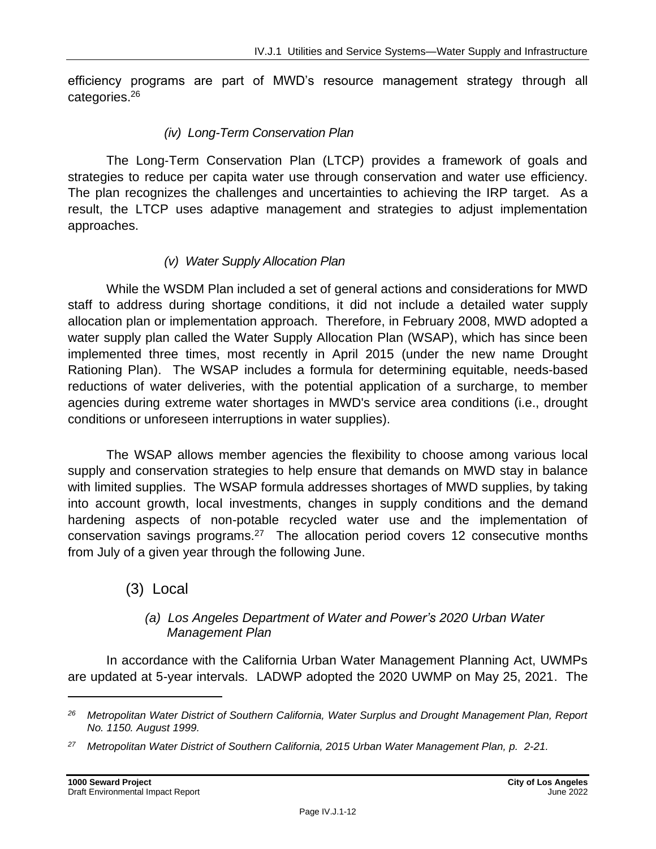efficiency programs are part of MWD's resource management strategy through all categories.<sup>26</sup>

#### *(iv) Long-Term Conservation Plan*

The Long‐Term Conservation Plan (LTCP) provides a framework of goals and strategies to reduce per capita water use through conservation and water use efficiency. The plan recognizes the challenges and uncertainties to achieving the IRP target. As a result, the LTCP uses adaptive management and strategies to adjust implementation approaches.

## *(v) Water Supply Allocation Plan*

While the WSDM Plan included a set of general actions and considerations for MWD staff to address during shortage conditions, it did not include a detailed water supply allocation plan or implementation approach. Therefore, in February 2008, MWD adopted a water supply plan called the Water Supply Allocation Plan (WSAP), which has since been implemented three times, most recently in April 2015 (under the new name Drought Rationing Plan). The WSAP includes a formula for determining equitable, needs-based reductions of water deliveries, with the potential application of a surcharge, to member agencies during extreme water shortages in MWD's service area conditions (i.e., drought conditions or unforeseen interruptions in water supplies).

The WSAP allows member agencies the flexibility to choose among various local supply and conservation strategies to help ensure that demands on MWD stay in balance with limited supplies. The WSAP formula addresses shortages of MWD supplies, by taking into account growth, local investments, changes in supply conditions and the demand hardening aspects of non-potable recycled water use and the implementation of conservation savings programs. $27$  The allocation period covers 12 consecutive months from July of a given year through the following June.

## (3) Local

#### *(a) Los Angeles Department of Water and Power's 2020 Urban Water Management Plan*

In accordance with the California Urban Water Management Planning Act, UWMPs are updated at 5-year intervals. LADWP adopted the 2020 UWMP on May 25, 2021. The

*<sup>26</sup> Metropolitan Water District of Southern California, Water Surplus and Drought Management Plan, Report No. 1150. August 1999.*

*<sup>27</sup> Metropolitan Water District of Southern California, 2015 Urban Water Management Plan, p. 2-21.*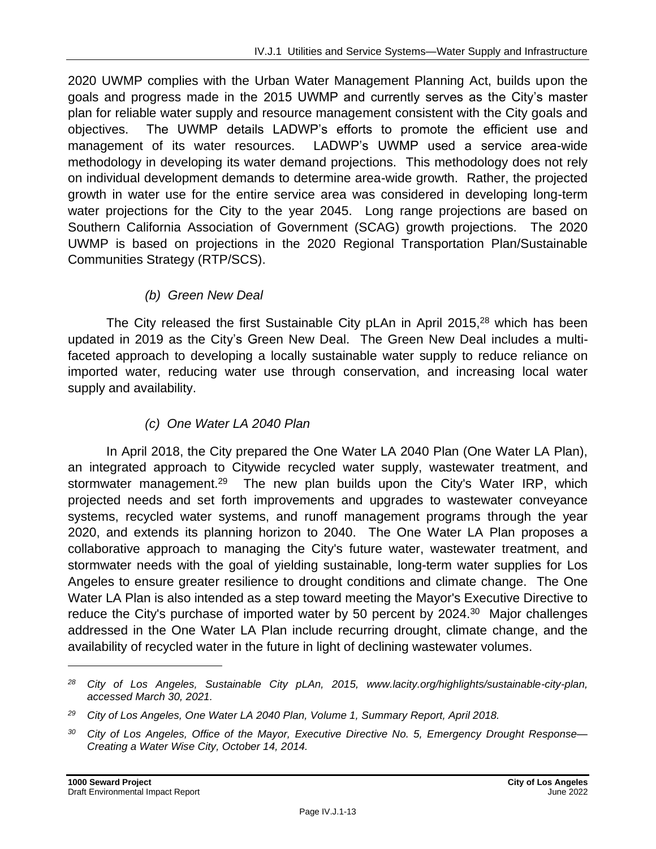2020 UWMP complies with the Urban Water Management Planning Act, builds upon the goals and progress made in the 2015 UWMP and currently serves as the City's master plan for reliable water supply and resource management consistent with the City goals and objectives. The UWMP details LADWP's efforts to promote the efficient use and management of its water resources. LADWP's UWMP used a service area-wide methodology in developing its water demand projections. This methodology does not rely on individual development demands to determine area-wide growth. Rather, the projected growth in water use for the entire service area was considered in developing long-term water projections for the City to the year 2045. Long range projections are based on Southern California Association of Government (SCAG) growth projections. The 2020 UWMP is based on projections in the 2020 Regional Transportation Plan/Sustainable Communities Strategy (RTP/SCS).

## *(b) Green New Deal*

The City released the first Sustainable City pLAn in April 2015, $^{28}$  which has been updated in 2019 as the City's Green New Deal. The Green New Deal includes a multifaceted approach to developing a locally sustainable water supply to reduce reliance on imported water, reducing water use through conservation, and increasing local water supply and availability.

## *(c) One Water LA 2040 Plan*

In April 2018, the City prepared the One Water LA 2040 Plan (One Water LA Plan), an integrated approach to Citywide recycled water supply, wastewater treatment, and stormwater management.<sup>29</sup> The new plan builds upon the City's Water IRP, which projected needs and set forth improvements and upgrades to wastewater conveyance systems, recycled water systems, and runoff management programs through the year 2020, and extends its planning horizon to 2040. The One Water LA Plan proposes a collaborative approach to managing the City's future water, wastewater treatment, and stormwater needs with the goal of yielding sustainable, long-term water supplies for Los Angeles to ensure greater resilience to drought conditions and climate change. The One Water LA Plan is also intended as a step toward meeting the Mayor's Executive Directive to reduce the City's purchase of imported water by 50 percent by 2024.<sup>30</sup> Major challenges addressed in the One Water LA Plan include recurring drought, climate change, and the availability of recycled water in the future in light of declining wastewater volumes.

*<sup>28</sup> City of Los Angeles, Sustainable City pLAn, 2015, www.lacity.org/highlights/sustainable-city-plan, accessed March 30, 2021.*

*<sup>29</sup> City of Los Angeles, One Water LA 2040 Plan, Volume 1, Summary Report, April 2018.*

*<sup>30</sup> City of Los Angeles, Office of the Mayor, Executive Directive No. 5, Emergency Drought Response— Creating a Water Wise City, October 14, 2014.*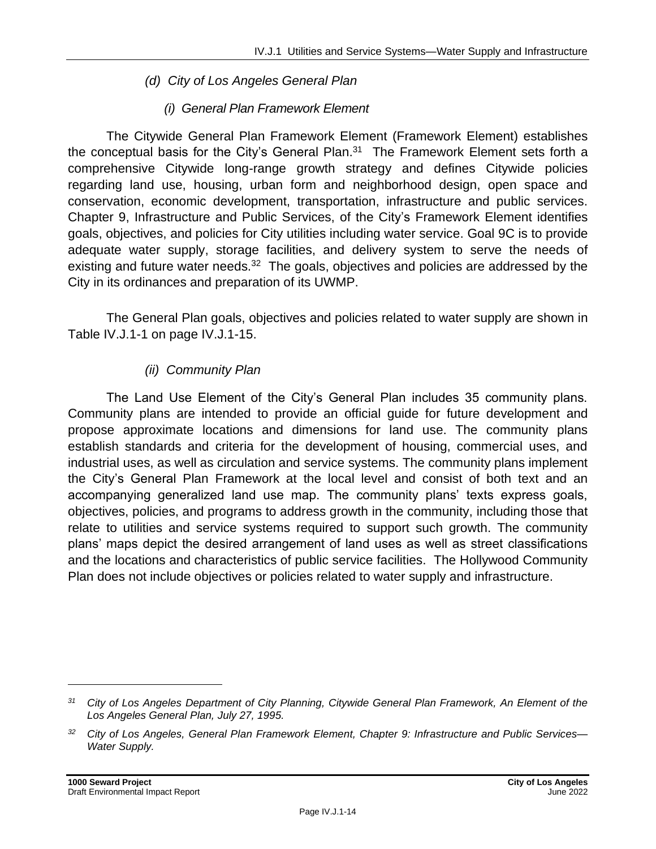#### *(d) City of Los Angeles General Plan*

#### *(i) General Plan Framework Element*

The Citywide General Plan Framework Element (Framework Element) establishes the conceptual basis for the City's General Plan. $31$  The Framework Element sets forth a comprehensive Citywide long-range growth strategy and defines Citywide policies regarding land use, housing, urban form and neighborhood design, open space and conservation, economic development, transportation, infrastructure and public services. Chapter 9, Infrastructure and Public Services, of the City's Framework Element identifies goals, objectives, and policies for City utilities including water service. Goal 9C is to provide adequate water supply, storage facilities, and delivery system to serve the needs of existing and future water needs.<sup>32</sup> The goals, objectives and policies are addressed by the City in its ordinances and preparation of its UWMP.

The General Plan goals, objectives and policies related to water supply are shown in Table IV.J.1-1 on page IV.J.1-15.

## *(ii) Community Plan*

The Land Use Element of the City's General Plan includes 35 community plans. Community plans are intended to provide an official guide for future development and propose approximate locations and dimensions for land use. The community plans establish standards and criteria for the development of housing, commercial uses, and industrial uses, as well as circulation and service systems. The community plans implement the City's General Plan Framework at the local level and consist of both text and an accompanying generalized land use map. The community plans' texts express goals, objectives, policies, and programs to address growth in the community, including those that relate to utilities and service systems required to support such growth. The community plans' maps depict the desired arrangement of land uses as well as street classifications and the locations and characteristics of public service facilities. The Hollywood Community Plan does not include objectives or policies related to water supply and infrastructure.

*<sup>31</sup> City of Los Angeles Department of City Planning, Citywide General Plan Framework, An Element of the Los Angeles General Plan, July 27, 1995.*

*<sup>32</sup> City of Los Angeles, General Plan Framework Element, Chapter 9: Infrastructure and Public Services— Water Supply.*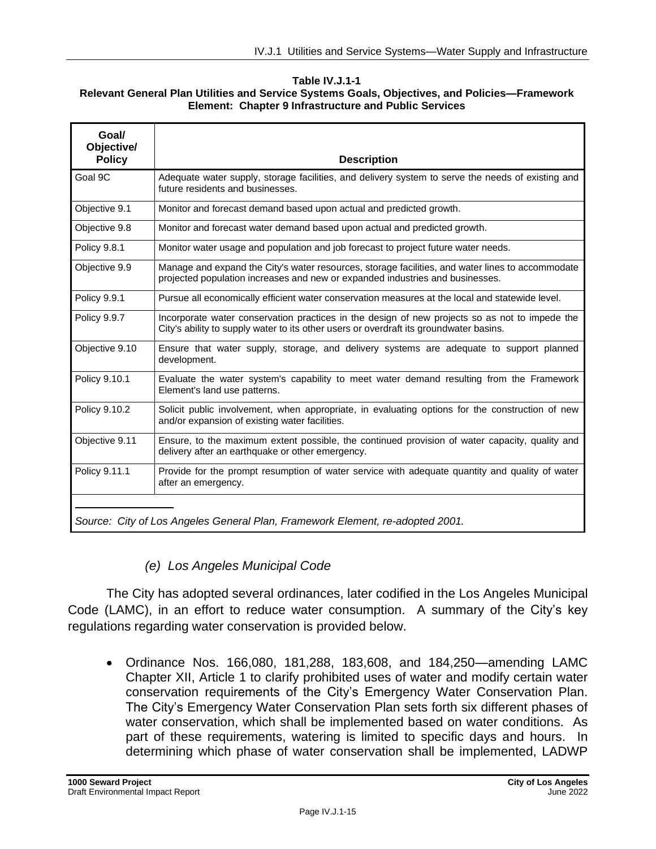#### **Table IV.J.1-1 Relevant General Plan Utilities and Service Systems Goals, Objectives, and Policies—Framework Element: Chapter 9 Infrastructure and Public Services**

| Goal/<br>Objective/<br><b>Policy</b>                                          | <b>Description</b>                                                                                                                                                                       |  |  |  |
|-------------------------------------------------------------------------------|------------------------------------------------------------------------------------------------------------------------------------------------------------------------------------------|--|--|--|
| Goal 9C                                                                       | Adequate water supply, storage facilities, and delivery system to serve the needs of existing and<br>future residents and businesses.                                                    |  |  |  |
| Objective 9.1                                                                 | Monitor and forecast demand based upon actual and predicted growth.                                                                                                                      |  |  |  |
| Objective 9.8                                                                 | Monitor and forecast water demand based upon actual and predicted growth.                                                                                                                |  |  |  |
| <b>Policy 9.8.1</b>                                                           | Monitor water usage and population and job forecast to project future water needs.                                                                                                       |  |  |  |
| Objective 9.9                                                                 | Manage and expand the City's water resources, storage facilities, and water lines to accommodate<br>projected population increases and new or expanded industries and businesses.        |  |  |  |
| Policy 9.9.1                                                                  | Pursue all economically efficient water conservation measures at the local and statewide level.                                                                                          |  |  |  |
| <b>Policy 9.9.7</b>                                                           | Incorporate water conservation practices in the design of new projects so as not to impede the<br>City's ability to supply water to its other users or overdraft its groundwater basins. |  |  |  |
| Objective 9.10                                                                | Ensure that water supply, storage, and delivery systems are adequate to support planned<br>development.                                                                                  |  |  |  |
| Policy 9.10.1                                                                 | Evaluate the water system's capability to meet water demand resulting from the Framework<br>Element's land use patterns.                                                                 |  |  |  |
| Policy 9.10.2                                                                 | Solicit public involvement, when appropriate, in evaluating options for the construction of new<br>and/or expansion of existing water facilities.                                        |  |  |  |
| Objective 9.11                                                                | Ensure, to the maximum extent possible, the continued provision of water capacity, quality and<br>delivery after an earthquake or other emergency.                                       |  |  |  |
| Policy 9.11.1                                                                 | Provide for the prompt resumption of water service with adequate quantity and quality of water<br>after an emergency.                                                                    |  |  |  |
| Source: City of Los Angeles General Plan, Framework Element, re-adopted 2001. |                                                                                                                                                                                          |  |  |  |

## *(e) Los Angeles Municipal Code*

The City has adopted several ordinances, later codified in the Los Angeles Municipal Code (LAMC), in an effort to reduce water consumption. A summary of the City's key regulations regarding water conservation is provided below.

• Ordinance Nos. 166,080, 181,288, 183,608, and 184,250—amending LAMC Chapter XII, Article 1 to clarify prohibited uses of water and modify certain water conservation requirements of the City's Emergency Water Conservation Plan. The City's Emergency Water Conservation Plan sets forth six different phases of water conservation, which shall be implemented based on water conditions. As part of these requirements, watering is limited to specific days and hours. In determining which phase of water conservation shall be implemented, LADWP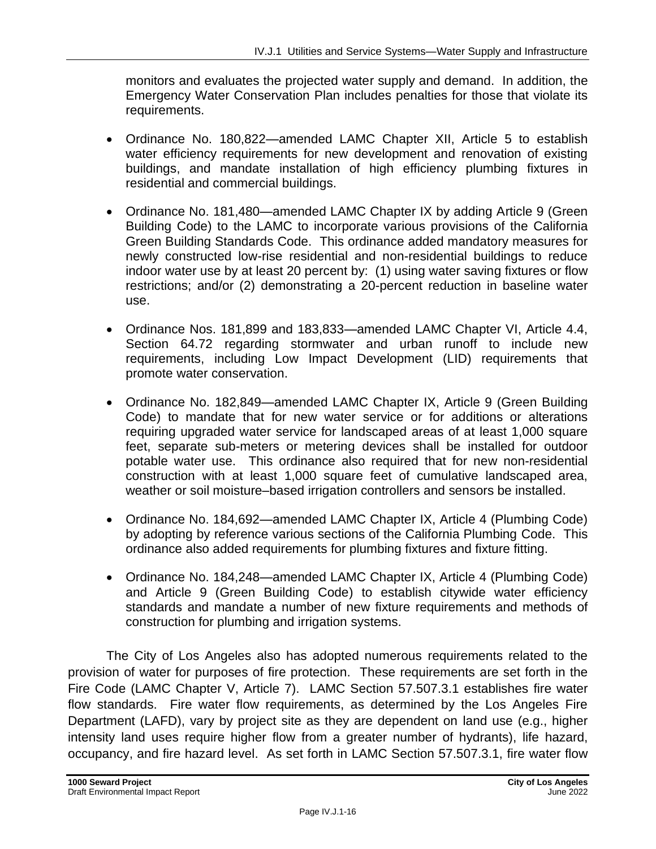monitors and evaluates the projected water supply and demand. In addition, the Emergency Water Conservation Plan includes penalties for those that violate its requirements.

- Ordinance No. 180,822—amended LAMC Chapter XII, Article 5 to establish water efficiency requirements for new development and renovation of existing buildings, and mandate installation of high efficiency plumbing fixtures in residential and commercial buildings.
- Ordinance No. 181,480—amended LAMC Chapter IX by adding Article 9 (Green Building Code) to the LAMC to incorporate various provisions of the California Green Building Standards Code. This ordinance added mandatory measures for newly constructed low-rise residential and non-residential buildings to reduce indoor water use by at least 20 percent by: (1) using water saving fixtures or flow restrictions; and/or (2) demonstrating a 20-percent reduction in baseline water use.
- Ordinance Nos. 181,899 and 183,833—amended LAMC Chapter VI, Article 4.4, Section 64.72 regarding stormwater and urban runoff to include new requirements, including Low Impact Development (LID) requirements that promote water conservation.
- Ordinance No. 182,849—amended LAMC Chapter IX, Article 9 (Green Building Code) to mandate that for new water service or for additions or alterations requiring upgraded water service for landscaped areas of at least 1,000 square feet, separate sub-meters or metering devices shall be installed for outdoor potable water use. This ordinance also required that for new non-residential construction with at least 1,000 square feet of cumulative landscaped area, weather or soil moisture–based irrigation controllers and sensors be installed.
- Ordinance No. 184,692—amended LAMC Chapter IX, Article 4 (Plumbing Code) by adopting by reference various sections of the California Plumbing Code. This ordinance also added requirements for plumbing fixtures and fixture fitting.
- Ordinance No. 184,248—amended LAMC Chapter IX, Article 4 (Plumbing Code) and Article 9 (Green Building Code) to establish citywide water efficiency standards and mandate a number of new fixture requirements and methods of construction for plumbing and irrigation systems.

The City of Los Angeles also has adopted numerous requirements related to the provision of water for purposes of fire protection. These requirements are set forth in the Fire Code (LAMC Chapter V, Article 7). LAMC Section 57.507.3.1 establishes fire water flow standards. Fire water flow requirements, as determined by the Los Angeles Fire Department (LAFD), vary by project site as they are dependent on land use (e.g., higher intensity land uses require higher flow from a greater number of hydrants), life hazard, occupancy, and fire hazard level. As set forth in LAMC Section 57.507.3.1, fire water flow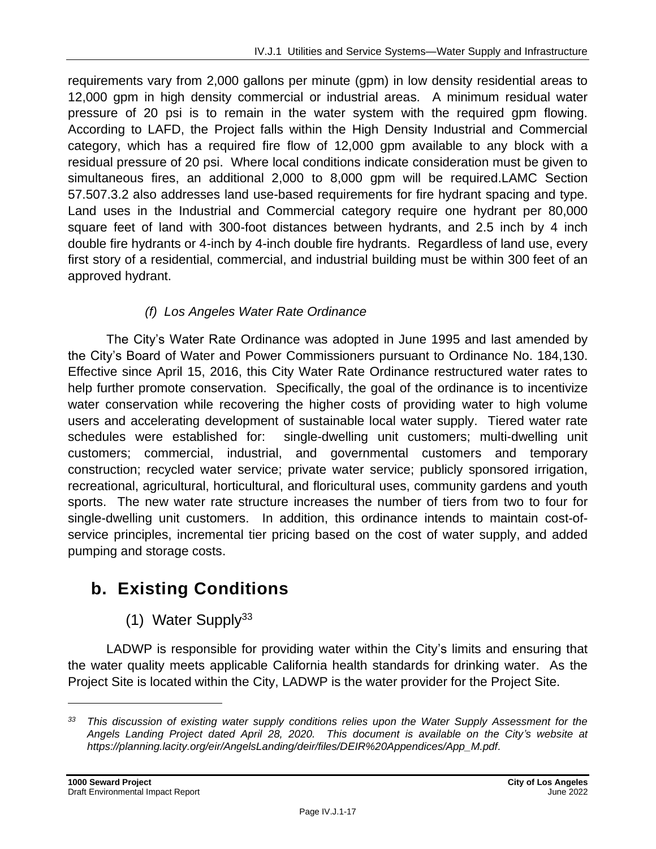requirements vary from 2,000 gallons per minute (gpm) in low density residential areas to 12,000 gpm in high density commercial or industrial areas. A minimum residual water pressure of 20 psi is to remain in the water system with the required gpm flowing. According to LAFD, the Project falls within the High Density Industrial and Commercial category, which has a required fire flow of 12,000 gpm available to any block with a residual pressure of 20 psi. Where local conditions indicate consideration must be given to simultaneous fires, an additional 2,000 to 8,000 gpm will be required.LAMC Section 57.507.3.2 also addresses land use-based requirements for fire hydrant spacing and type. Land uses in the Industrial and Commercial category require one hydrant per 80,000 square feet of land with 300-foot distances between hydrants, and 2.5 inch by 4 inch double fire hydrants or 4-inch by 4-inch double fire hydrants. Regardless of land use, every first story of a residential, commercial, and industrial building must be within 300 feet of an approved hydrant.

## *(f) Los Angeles Water Rate Ordinance*

The City's Water Rate Ordinance was adopted in June 1995 and last amended by the City's Board of Water and Power Commissioners pursuant to Ordinance No. 184,130. Effective since April 15, 2016, this City Water Rate Ordinance restructured water rates to help further promote conservation. Specifically, the goal of the ordinance is to incentivize water conservation while recovering the higher costs of providing water to high volume users and accelerating development of sustainable local water supply. Tiered water rate schedules were established for: single-dwelling unit customers; multi-dwelling unit customers; commercial, industrial, and governmental customers and temporary construction; recycled water service; private water service; publicly sponsored irrigation, recreational, agricultural, horticultural, and floricultural uses, community gardens and youth sports. The new water rate structure increases the number of tiers from two to four for single-dwelling unit customers. In addition, this ordinance intends to maintain cost-ofservice principles, incremental tier pricing based on the cost of water supply, and added pumping and storage costs.

# **b. Existing Conditions**

(1) Water Supply $33$ 

LADWP is responsible for providing water within the City's limits and ensuring that the water quality meets applicable California health standards for drinking water. As the Project Site is located within the City, LADWP is the water provider for the Project Site.

*<sup>33</sup> This discussion of existing water supply conditions relies upon the Water Supply Assessment for the Angels Landing Project dated April 28, 2020. This document is available on the City's website at https://planning.lacity.org/eir/AngelsLanding/deir/files/DEIR%20Appendices/App\_M.pdf.*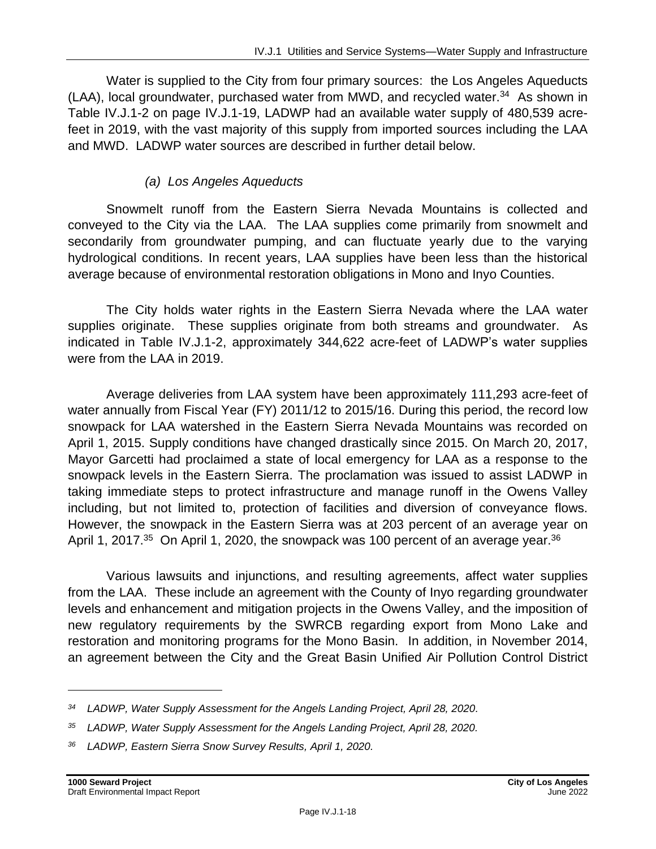Water is supplied to the City from four primary sources: the Los Angeles Aqueducts (LAA), local groundwater, purchased water from MWD, and recycled water.<sup>34</sup> As shown in Table IV.J.1-2 on page IV.J.1-19, LADWP had an available water supply of 480,539 acrefeet in 2019, with the vast majority of this supply from imported sources including the LAA and MWD. LADWP water sources are described in further detail below.

#### *(a) Los Angeles Aqueducts*

Snowmelt runoff from the Eastern Sierra Nevada Mountains is collected and conveyed to the City via the LAA. The LAA supplies come primarily from snowmelt and secondarily from groundwater pumping, and can fluctuate yearly due to the varying hydrological conditions. In recent years, LAA supplies have been less than the historical average because of environmental restoration obligations in Mono and Inyo Counties.

The City holds water rights in the Eastern Sierra Nevada where the LAA water supplies originate. These supplies originate from both streams and groundwater. As indicated in Table IV.J.1-2, approximately 344,622 acre-feet of LADWP's water supplies were from the LAA in 2019.

Average deliveries from LAA system have been approximately 111,293 acre-feet of water annually from Fiscal Year (FY) 2011/12 to 2015/16. During this period, the record low snowpack for LAA watershed in the Eastern Sierra Nevada Mountains was recorded on April 1, 2015. Supply conditions have changed drastically since 2015. On March 20, 2017, Mayor Garcetti had proclaimed a state of local emergency for LAA as a response to the snowpack levels in the Eastern Sierra. The proclamation was issued to assist LADWP in taking immediate steps to protect infrastructure and manage runoff in the Owens Valley including, but not limited to, protection of facilities and diversion of conveyance flows. However, the snowpack in the Eastern Sierra was at 203 percent of an average year on April 1, 2017. $35$  On April 1, 2020, the snowpack was 100 percent of an average year. $36$ 

Various lawsuits and injunctions, and resulting agreements, affect water supplies from the LAA. These include an agreement with the County of Inyo regarding groundwater levels and enhancement and mitigation projects in the Owens Valley, and the imposition of new regulatory requirements by the SWRCB regarding export from Mono Lake and restoration and monitoring programs for the Mono Basin. In addition, in November 2014, an agreement between the City and the Great Basin Unified Air Pollution Control District

*<sup>34</sup> LADWP, Water Supply Assessment for the Angels Landing Project, April 28, 2020.*

*<sup>35</sup> LADWP, Water Supply Assessment for the Angels Landing Project, April 28, 2020.*

*<sup>36</sup> LADWP, Eastern Sierra Snow Survey Results, April 1, 2020.*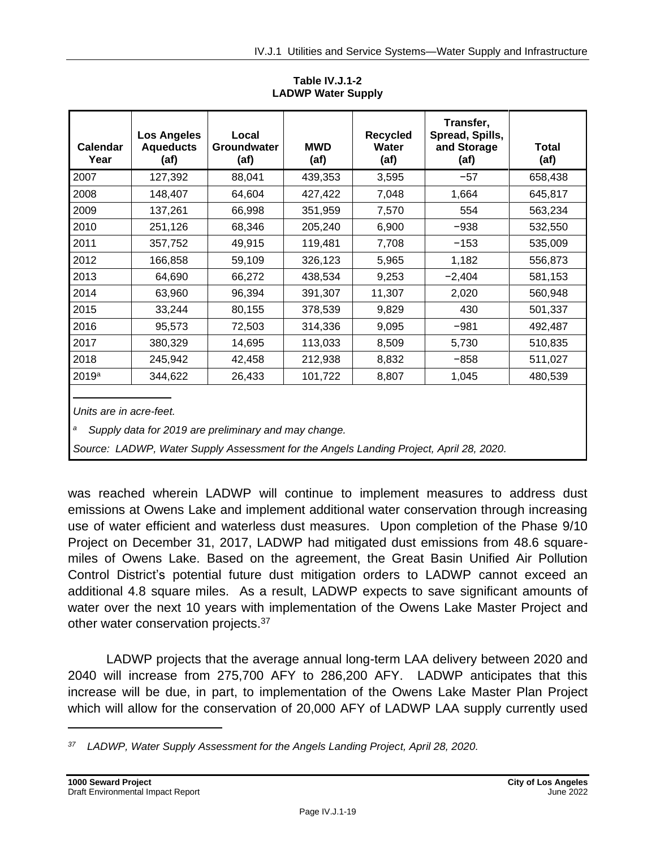| <b>Calendar</b><br>Year | <b>Los Angeles</b><br><b>Aqueducts</b><br>(af) | Local<br><b>Groundwater</b><br>(af) | <b>MWD</b><br>(af) | <b>Recycled</b><br>Water<br>(af) | Transfer,<br>Spread, Spills,<br>and Storage<br>(af) | Total<br>(af) |
|-------------------------|------------------------------------------------|-------------------------------------|--------------------|----------------------------------|-----------------------------------------------------|---------------|
| 2007                    | 127,392                                        | 88,041                              | 439,353            | 3,595                            | $-57$                                               | 658,438       |
| 2008                    | 148,407                                        | 64,604                              | 427,422            | 7,048                            | 1,664                                               | 645,817       |
| 2009                    | 137,261                                        | 66,998                              | 351,959            | 7,570                            | 554                                                 | 563,234       |
| 2010                    | 251,126                                        | 68,346                              | 205,240            | 6,900                            | $-938$                                              | 532,550       |
| 2011                    | 357,752                                        | 49,915                              | 119,481            | 7,708                            | $-153$                                              | 535,009       |
| 2012                    | 166,858                                        | 59,109                              | 326,123            | 5,965                            | 1,182                                               | 556,873       |
| 2013                    | 64,690                                         | 66,272                              | 438,534            | 9,253                            | $-2,404$                                            | 581,153       |
| 2014                    | 63,960                                         | 96,394                              | 391,307            | 11,307                           | 2,020                                               | 560,948       |
| 2015                    | 33,244                                         | 80,155                              | 378,539            | 9,829                            | 430                                                 | 501,337       |
| 2016                    | 95,573                                         | 72,503                              | 314,336            | 9,095                            | $-981$                                              | 492,487       |
| 2017                    | 380,329                                        | 14,695                              | 113,033            | 8,509                            | 5,730                                               | 510,835       |
| 2018                    | 245,942                                        | 42,458                              | 212,938            | 8,832                            | $-858$                                              | 511,027       |
| 2019 <sup>a</sup>       | 344,622                                        | 26,433                              | 101,722            | 8,807                            | 1,045                                               | 480,539       |

**Table IV.J.1-2 LADWP Water Supply**

*Units are in acre-feet.*

*<sup>a</sup> Supply data for 2019 are preliminary and may change.*

*Source: LADWP, Water Supply Assessment for the Angels Landing Project, April 28, 2020.*

was reached wherein LADWP will continue to implement measures to address dust emissions at Owens Lake and implement additional water conservation through increasing use of water efficient and waterless dust measures. Upon completion of the Phase 9/10 Project on December 31, 2017, LADWP had mitigated dust emissions from 48.6 squaremiles of Owens Lake. Based on the agreement, the Great Basin Unified Air Pollution Control District's potential future dust mitigation orders to LADWP cannot exceed an additional 4.8 square miles. As a result, LADWP expects to save significant amounts of water over the next 10 years with implementation of the Owens Lake Master Project and other water conservation projects.<sup>37</sup>

LADWP projects that the average annual long-term LAA delivery between 2020 and 2040 will increase from 275,700 AFY to 286,200 AFY. LADWP anticipates that this increase will be due, in part, to implementation of the Owens Lake Master Plan Project which will allow for the conservation of 20,000 AFY of LADWP LAA supply currently used

*<sup>37</sup> LADWP, Water Supply Assessment for the Angels Landing Project, April 28, 2020.*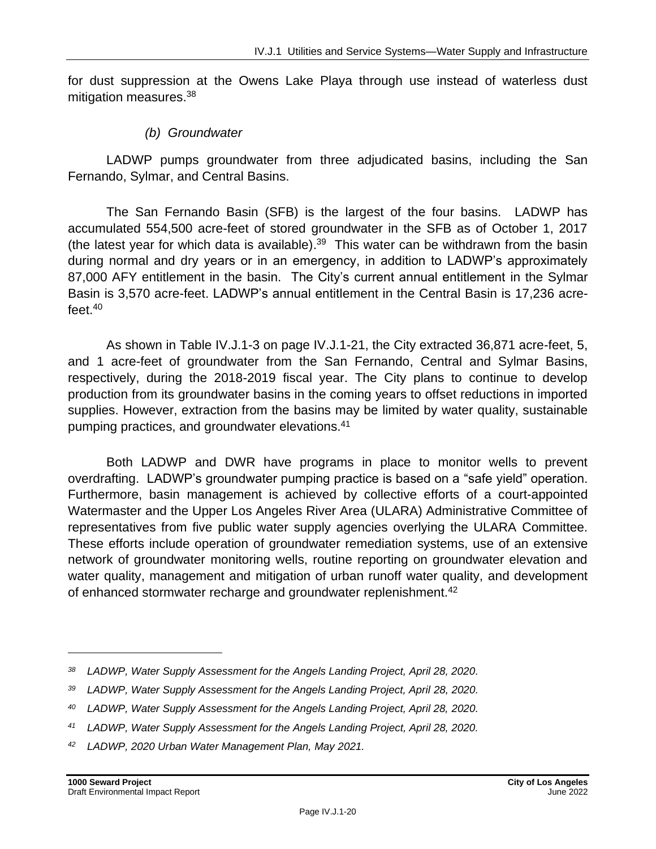for dust suppression at the Owens Lake Playa through use instead of waterless dust mitigation measures.<sup>38</sup>

#### *(b) Groundwater*

LADWP pumps groundwater from three adjudicated basins, including the San Fernando, Sylmar, and Central Basins.

The San Fernando Basin (SFB) is the largest of the four basins. LADWP has accumulated 554,500 acre-feet of stored groundwater in the SFB as of October 1, 2017 (the latest year for which data is available).<sup>39</sup> This water can be withdrawn from the basin during normal and dry years or in an emergency, in addition to LADWP's approximately 87,000 AFY entitlement in the basin. The City's current annual entitlement in the Sylmar Basin is 3,570 acre-feet. LADWP's annual entitlement in the Central Basin is 17,236 acrefeet. $^{40}$ 

As shown in Table IV.J.1-3 on page IV.J.1-21, the City extracted 36,871 acre-feet, 5, and 1 acre-feet of groundwater from the San Fernando, Central and Sylmar Basins, respectively, during the 2018-2019 fiscal year. The City plans to continue to develop production from its groundwater basins in the coming years to offset reductions in imported supplies. However, extraction from the basins may be limited by water quality, sustainable pumping practices, and groundwater elevations.<sup>41</sup>

Both LADWP and DWR have programs in place to monitor wells to prevent overdrafting. LADWP's groundwater pumping practice is based on a "safe yield" operation. Furthermore, basin management is achieved by collective efforts of a court-appointed Watermaster and the Upper Los Angeles River Area (ULARA) Administrative Committee of representatives from five public water supply agencies overlying the ULARA Committee. These efforts include operation of groundwater remediation systems, use of an extensive network of groundwater monitoring wells, routine reporting on groundwater elevation and water quality, management and mitigation of urban runoff water quality, and development of enhanced stormwater recharge and groundwater replenishment.<sup>42</sup>

*<sup>38</sup> LADWP, Water Supply Assessment for the Angels Landing Project, April 28, 2020.*

*<sup>39</sup> LADWP, Water Supply Assessment for the Angels Landing Project, April 28, 2020.*

*<sup>40</sup> LADWP, Water Supply Assessment for the Angels Landing Project, April 28, 2020.*

*<sup>41</sup> LADWP, Water Supply Assessment for the Angels Landing Project, April 28, 2020.*

*<sup>42</sup> LADWP, 2020 Urban Water Management Plan, May 2021.*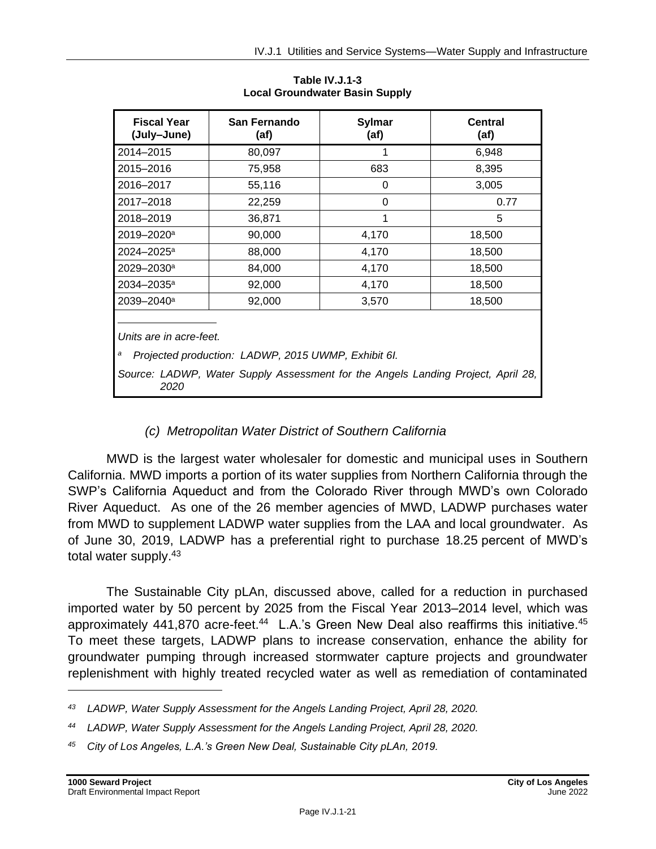| <b>Fiscal Year</b><br>(July-June)                                                                                                                                       | San Fernando<br>(af) | <b>Sylmar</b><br>(af) | <b>Central</b><br>(af) |  |  |
|-------------------------------------------------------------------------------------------------------------------------------------------------------------------------|----------------------|-----------------------|------------------------|--|--|
| 2014-2015                                                                                                                                                               | 80,097               |                       | 6,948                  |  |  |
| 2015-2016                                                                                                                                                               | 75,958               | 683                   | 8,395                  |  |  |
| 2016-2017                                                                                                                                                               | 55,116               | 0                     | 3,005                  |  |  |
| 2017-2018                                                                                                                                                               | 22,259               | 0                     | 0.77                   |  |  |
| 2018-2019                                                                                                                                                               | 36,871               |                       | 5                      |  |  |
| 2019-2020 <sup>a</sup>                                                                                                                                                  | 90,000               | 4,170                 | 18,500                 |  |  |
| $2024 - 2025^{\circ}$                                                                                                                                                   | 88,000               | 4,170                 | 18,500                 |  |  |
| 2029-2030 <sup>a</sup>                                                                                                                                                  | 84,000               | 4,170                 | 18,500                 |  |  |
| 2034-2035 <sup>a</sup>                                                                                                                                                  | 92,000               | 4,170                 | 18,500                 |  |  |
| 2039-2040 <sup>a</sup>                                                                                                                                                  | 92,000               | 3,570                 | 18,500                 |  |  |
| Units are in acre-feet.<br>а<br>Projected production: LADWP, 2015 UWMP, Exhibit 6I.<br>Source: LADWP, Water Supply Assessment for the Angels Landing Project, April 28, |                      |                       |                        |  |  |
| 2020                                                                                                                                                                    |                      |                       |                        |  |  |

**Table IV.J.1-3 Local Groundwater Basin Supply**

## *(c) Metropolitan Water District of Southern California*

MWD is the largest water wholesaler for domestic and municipal uses in Southern California. MWD imports a portion of its water supplies from Northern California through the SWP's California Aqueduct and from the Colorado River through MWD's own Colorado River Aqueduct. As one of the 26 member agencies of MWD, LADWP purchases water from MWD to supplement LADWP water supplies from the LAA and local groundwater. As of June 30, 2019, LADWP has a preferential right to purchase 18.25 percent of MWD's total water supply.<sup>43</sup>

The Sustainable City pLAn, discussed above, called for a reduction in purchased imported water by 50 percent by 2025 from the Fiscal Year 2013–2014 level, which was approximately 441,870 acre-feet.<sup>44</sup> L.A.'s Green New Deal also reaffirms this initiative.<sup>45</sup> To meet these targets, LADWP plans to increase conservation, enhance the ability for groundwater pumping through increased stormwater capture projects and groundwater replenishment with highly treated recycled water as well as remediation of contaminated

*<sup>43</sup> LADWP, Water Supply Assessment for the Angels Landing Project, April 28, 2020.*

*<sup>44</sup> LADWP, Water Supply Assessment for the Angels Landing Project, April 28, 2020.*

*<sup>45</sup> City of Los Angeles, L.A.'s Green New Deal, Sustainable City pLAn, 2019.*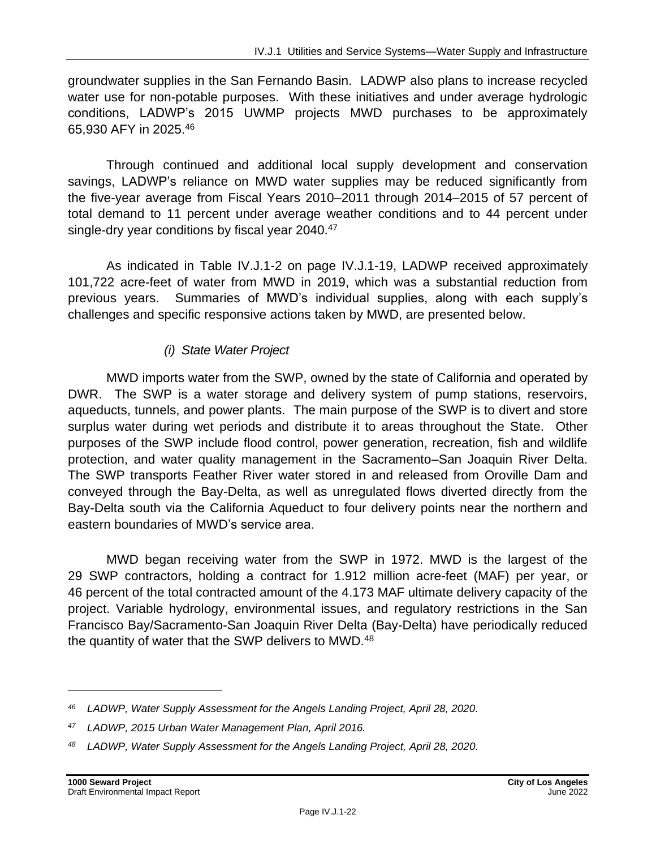groundwater supplies in the San Fernando Basin. LADWP also plans to increase recycled water use for non-potable purposes. With these initiatives and under average hydrologic conditions, LADWP's 2015 UWMP projects MWD purchases to be approximately 65,930 AFY in 2025.<sup>46</sup>

Through continued and additional local supply development and conservation savings, LADWP's reliance on MWD water supplies may be reduced significantly from the five-year average from Fiscal Years 2010–2011 through 2014–2015 of 57 percent of total demand to 11 percent under average weather conditions and to 44 percent under single-dry year conditions by fiscal year 2040.<sup>47</sup>

As indicated in Table IV.J.1-2 on page IV.J.1-19, LADWP received approximately 101,722 acre-feet of water from MWD in 2019, which was a substantial reduction from previous years. Summaries of MWD's individual supplies, along with each supply's challenges and specific responsive actions taken by MWD, are presented below.

## *(i) State Water Project*

MWD imports water from the SWP, owned by the state of California and operated by DWR. The SWP is a water storage and delivery system of pump stations, reservoirs, aqueducts, tunnels, and power plants. The main purpose of the SWP is to divert and store surplus water during wet periods and distribute it to areas throughout the State. Other purposes of the SWP include flood control, power generation, recreation, fish and wildlife protection, and water quality management in the Sacramento–San Joaquin River Delta. The SWP transports Feather River water stored in and released from Oroville Dam and conveyed through the Bay-Delta, as well as unregulated flows diverted directly from the Bay-Delta south via the California Aqueduct to four delivery points near the northern and eastern boundaries of MWD's service area.

MWD began receiving water from the SWP in 1972. MWD is the largest of the 29 SWP contractors, holding a contract for 1.912 million acre-feet (MAF) per year, or 46 percent of the total contracted amount of the 4.173 MAF ultimate delivery capacity of the project. Variable hydrology, environmental issues, and regulatory restrictions in the San Francisco Bay/Sacramento-San Joaquin River Delta (Bay-Delta) have periodically reduced the quantity of water that the SWP delivers to MWD.<sup>48</sup>

*<sup>46</sup> LADWP, Water Supply Assessment for the Angels Landing Project, April 28, 2020.*

*<sup>47</sup> LADWP, 2015 Urban Water Management Plan, April 2016.*

*<sup>48</sup> LADWP, Water Supply Assessment for the Angels Landing Project, April 28, 2020.*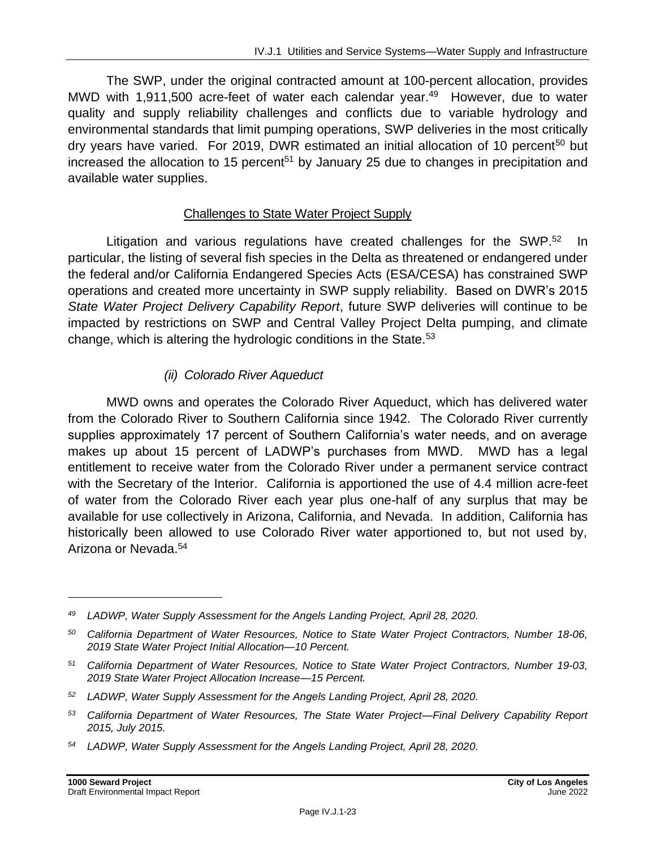The SWP, under the original contracted amount at 100-percent allocation, provides MWD with 1,911,500 acre-feet of water each calendar year.<sup>49</sup> However, due to water quality and supply reliability challenges and conflicts due to variable hydrology and environmental standards that limit pumping operations, SWP deliveries in the most critically dry years have varied. For 2019, DWR estimated an initial allocation of 10 percent<sup>50</sup> but increased the allocation to 15 percent<sup>51</sup> by January 25 due to changes in precipitation and available water supplies.

#### Challenges to State Water Project Supply

Litigation and various regulations have created challenges for the SWP.<sup>52</sup> In particular, the listing of several fish species in the Delta as threatened or endangered under the federal and/or California Endangered Species Acts (ESA/CESA) has constrained SWP operations and created more uncertainty in SWP supply reliability. Based on DWR's 2015 *State Water Project Delivery Capability Report*, future SWP deliveries will continue to be impacted by restrictions on SWP and Central Valley Project Delta pumping, and climate change, which is altering the hydrologic conditions in the State.<sup>53</sup>

#### *(ii) Colorado River Aqueduct*

MWD owns and operates the Colorado River Aqueduct, which has delivered water from the Colorado River to Southern California since 1942. The Colorado River currently supplies approximately 17 percent of Southern California's water needs, and on average makes up about 15 percent of LADWP's purchases from MWD. MWD has a legal entitlement to receive water from the Colorado River under a permanent service contract with the Secretary of the Interior. California is apportioned the use of 4.4 million acre-feet of water from the Colorado River each year plus one-half of any surplus that may be available for use collectively in Arizona, California, and Nevada. In addition, California has historically been allowed to use Colorado River water apportioned to, but not used by, Arizona or Nevada.<sup>54</sup>

- *<sup>53</sup> California Department of Water Resources, The State Water Project—Final Delivery Capability Report 2015, July 2015.*
- *<sup>54</sup> LADWP, Water Supply Assessment for the Angels Landing Project, April 28, 2020.*

*<sup>49</sup> LADWP, Water Supply Assessment for the Angels Landing Project, April 28, 2020.*

*<sup>50</sup> California Department of Water Resources, Notice to State Water Project Contractors, Number 18-06, 2019 State Water Project Initial Allocation—10 Percent.*

*<sup>51</sup> California Department of Water Resources, Notice to State Water Project Contractors, Number 19-03, 2019 State Water Project Allocation Increase—15 Percent.*

*<sup>52</sup> LADWP, Water Supply Assessment for the Angels Landing Project, April 28, 2020.*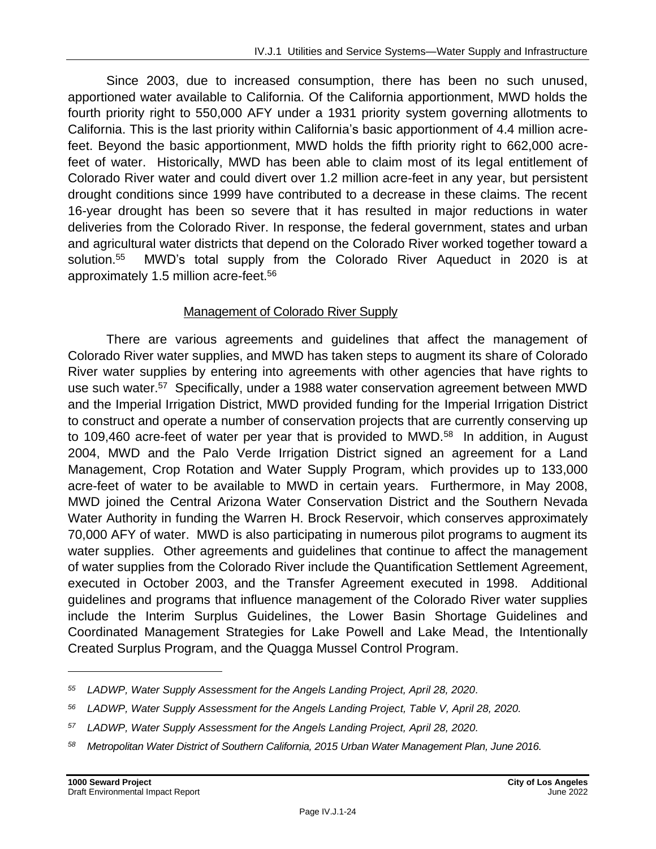Since 2003, due to increased consumption, there has been no such unused, apportioned water available to California. Of the California apportionment, MWD holds the fourth priority right to 550,000 AFY under a 1931 priority system governing allotments to California. This is the last priority within California's basic apportionment of 4.4 million acrefeet. Beyond the basic apportionment, MWD holds the fifth priority right to 662,000 acrefeet of water. Historically, MWD has been able to claim most of its legal entitlement of Colorado River water and could divert over 1.2 million acre-feet in any year, but persistent drought conditions since 1999 have contributed to a decrease in these claims. The recent 16-year drought has been so severe that it has resulted in major reductions in water deliveries from the Colorado River. In response, the federal government, states and urban and agricultural water districts that depend on the Colorado River worked together toward a solution.<sup>55</sup> MWD's total supply from the Colorado River Aqueduct in 2020 is at approximately 1.5 million acre-feet.<sup>56</sup>

#### Management of Colorado River Supply

There are various agreements and guidelines that affect the management of Colorado River water supplies, and MWD has taken steps to augment its share of Colorado River water supplies by entering into agreements with other agencies that have rights to use such water.<sup>57</sup> Specifically, under a 1988 water conservation agreement between MWD and the Imperial Irrigation District, MWD provided funding for the Imperial Irrigation District to construct and operate a number of conservation projects that are currently conserving up to 109,460 acre-feet of water per year that is provided to MWD.<sup>58</sup> In addition, in August 2004, MWD and the Palo Verde Irrigation District signed an agreement for a Land Management, Crop Rotation and Water Supply Program, which provides up to 133,000 acre-feet of water to be available to MWD in certain years. Furthermore, in May 2008, MWD joined the Central Arizona Water Conservation District and the Southern Nevada Water Authority in funding the Warren H. Brock Reservoir, which conserves approximately 70,000 AFY of water. MWD is also participating in numerous pilot programs to augment its water supplies. Other agreements and guidelines that continue to affect the management of water supplies from the Colorado River include the Quantification Settlement Agreement, executed in October 2003, and the Transfer Agreement executed in 1998. Additional guidelines and programs that influence management of the Colorado River water supplies include the Interim Surplus Guidelines, the Lower Basin Shortage Guidelines and Coordinated Management Strategies for Lake Powell and Lake Mead, the Intentionally Created Surplus Program, and the Quagga Mussel Control Program.

- *<sup>57</sup> LADWP, Water Supply Assessment for the Angels Landing Project, April 28, 2020.*
- *<sup>58</sup> Metropolitan Water District of Southern California, 2015 Urban Water Management Plan, June 2016.*

*<sup>55</sup> LADWP, Water Supply Assessment for the Angels Landing Project, April 28, 2020.*

*<sup>56</sup> LADWP, Water Supply Assessment for the Angels Landing Project, Table V, April 28, 2020.*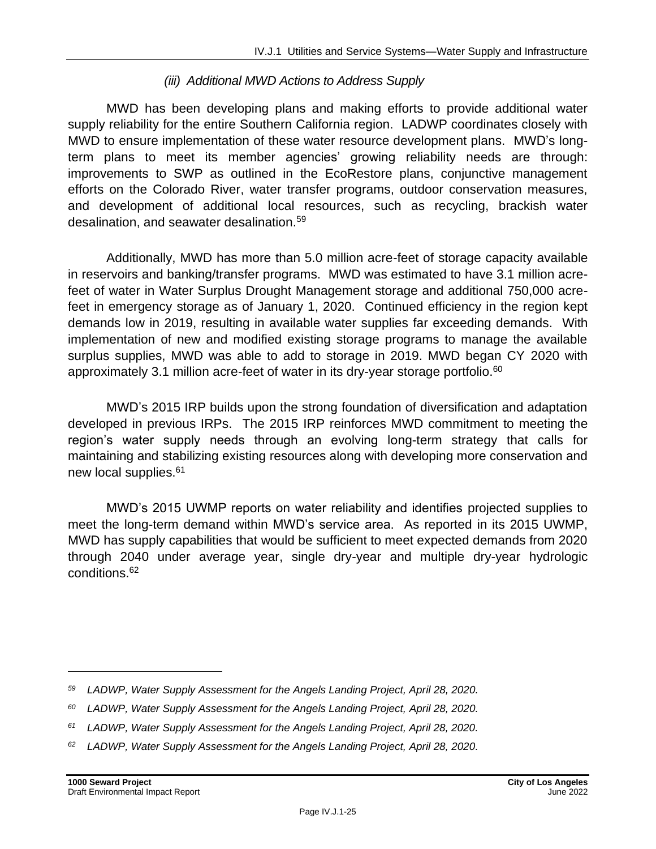#### *(iii) Additional MWD Actions to Address Supply*

MWD has been developing plans and making efforts to provide additional water supply reliability for the entire Southern California region. LADWP coordinates closely with MWD to ensure implementation of these water resource development plans. MWD's longterm plans to meet its member agencies' growing reliability needs are through: improvements to SWP as outlined in the EcoRestore plans, conjunctive management efforts on the Colorado River, water transfer programs, outdoor conservation measures, and development of additional local resources, such as recycling, brackish water desalination, and seawater desalination.<sup>59</sup>

Additionally, MWD has more than 5.0 million acre-feet of storage capacity available in reservoirs and banking/transfer programs. MWD was estimated to have 3.1 million acrefeet of water in Water Surplus Drought Management storage and additional 750,000 acrefeet in emergency storage as of January 1, 2020. Continued efficiency in the region kept demands low in 2019, resulting in available water supplies far exceeding demands. With implementation of new and modified existing storage programs to manage the available surplus supplies, MWD was able to add to storage in 2019. MWD began CY 2020 with approximately 3.1 million acre-feet of water in its dry-year storage portfolio.<sup>60</sup>

MWD's 2015 IRP builds upon the strong foundation of diversification and adaptation developed in previous IRPs. The 2015 IRP reinforces MWD commitment to meeting the region's water supply needs through an evolving long-term strategy that calls for maintaining and stabilizing existing resources along with developing more conservation and new local supplies.<sup>61</sup>

MWD's 2015 UWMP reports on water reliability and identifies projected supplies to meet the long-term demand within MWD's service area. As reported in its 2015 UWMP, MWD has supply capabilities that would be sufficient to meet expected demands from 2020 through 2040 under average year, single dry-year and multiple dry-year hydrologic conditions.<sup>62</sup>

*<sup>59</sup> LADWP, Water Supply Assessment for the Angels Landing Project, April 28, 2020.*

*<sup>60</sup> LADWP, Water Supply Assessment for the Angels Landing Project, April 28, 2020.*

*<sup>61</sup> LADWP, Water Supply Assessment for the Angels Landing Project, April 28, 2020.*

*<sup>62</sup> LADWP, Water Supply Assessment for the Angels Landing Project, April 28, 2020.*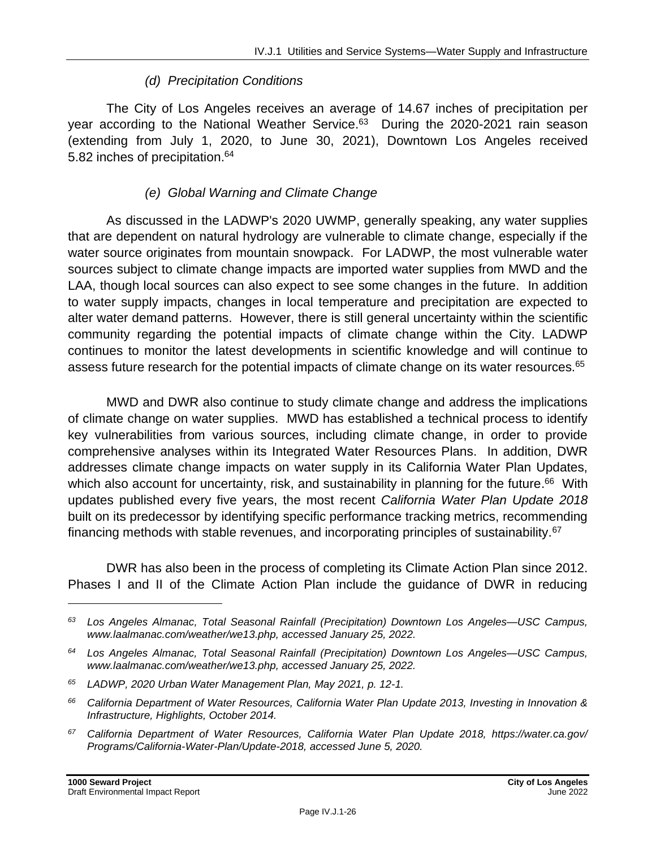#### *(d) Precipitation Conditions*

The City of Los Angeles receives an average of 14.67 inches of precipitation per year according to the National Weather Service.<sup>63</sup> During the 2020-2021 rain season (extending from July 1, 2020, to June 30, 2021), Downtown Los Angeles received 5.82 inches of precipitation.<sup>64</sup>

#### *(e) Global Warning and Climate Change*

As discussed in the LADWP's 2020 UWMP, generally speaking, any water supplies that are dependent on natural hydrology are vulnerable to climate change, especially if the water source originates from mountain snowpack. For LADWP, the most vulnerable water sources subject to climate change impacts are imported water supplies from MWD and the LAA, though local sources can also expect to see some changes in the future. In addition to water supply impacts, changes in local temperature and precipitation are expected to alter water demand patterns. However, there is still general uncertainty within the scientific community regarding the potential impacts of climate change within the City. LADWP continues to monitor the latest developments in scientific knowledge and will continue to assess future research for the potential impacts of climate change on its water resources.<sup>65</sup>

MWD and DWR also continue to study climate change and address the implications of climate change on water supplies. MWD has established a technical process to identify key vulnerabilities from various sources, including climate change, in order to provide comprehensive analyses within its Integrated Water Resources Plans. In addition, DWR addresses climate change impacts on water supply in its California Water Plan Updates, which also account for uncertainty, risk, and sustainability in planning for the future.<sup>66</sup> With updates published every five years, the most recent *California Water Plan Update 2018* built on its predecessor by identifying specific performance tracking metrics, recommending financing methods with stable revenues, and incorporating principles of sustainability.<sup>67</sup>

DWR has also been in the process of completing its Climate Action Plan since 2012. Phases I and II of the Climate Action Plan include the guidance of DWR in reducing

*<sup>63</sup> Los Angeles Almanac, Total Seasonal Rainfall (Precipitation) Downtown Los Angeles—USC Campus, www.laalmanac.com/weather/we13.php, accessed January 25, 2022.*

*<sup>64</sup> Los Angeles Almanac, Total Seasonal Rainfall (Precipitation) Downtown Los Angeles—USC Campus, www.laalmanac.com/weather/we13.php, accessed January 25, 2022.*

*<sup>65</sup> LADWP, 2020 Urban Water Management Plan, May 2021, p. 12-1.*

*<sup>66</sup> California Department of Water Resources, California Water Plan Update 2013, Investing in Innovation & Infrastructure, Highlights, October 2014.*

*<sup>67</sup> California Department of Water Resources, California Water Plan Update 2018, https://water.ca.gov/ Programs/California-Water-Plan/Update-2018, accessed June 5, 2020.*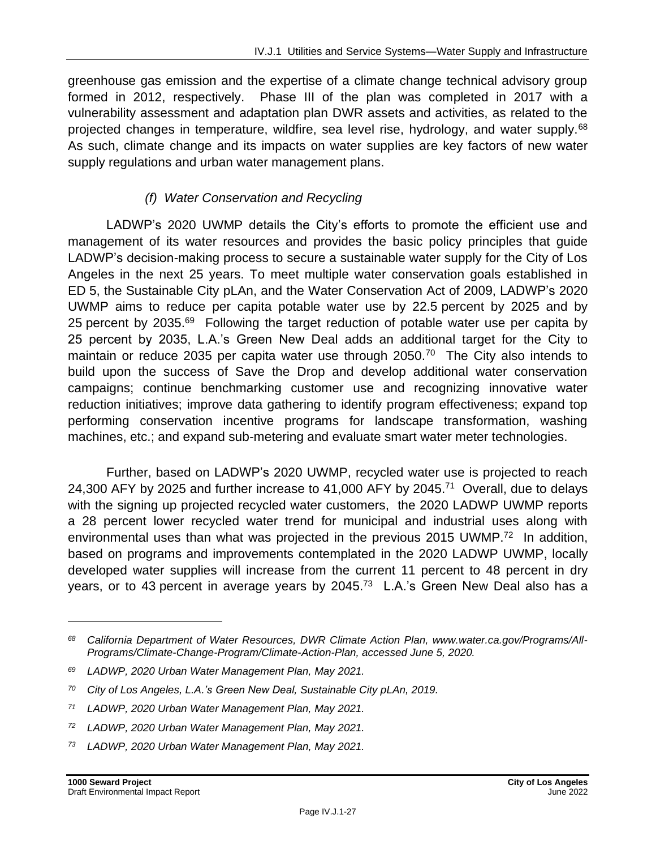greenhouse gas emission and the expertise of a climate change technical advisory group formed in 2012, respectively. Phase III of the plan was completed in 2017 with a vulnerability assessment and adaptation plan DWR assets and activities, as related to the projected changes in temperature, wildfire, sea level rise, hydrology, and water supply.<sup>68</sup> As such, climate change and its impacts on water supplies are key factors of new water supply regulations and urban water management plans.

#### *(f) Water Conservation and Recycling*

LADWP's 2020 UWMP details the City's efforts to promote the efficient use and management of its water resources and provides the basic policy principles that guide LADWP's decision-making process to secure a sustainable water supply for the City of Los Angeles in the next 25 years. To meet multiple water conservation goals established in ED 5, the Sustainable City pLAn, and the Water Conservation Act of 2009, LADWP's 2020 UWMP aims to reduce per capita potable water use by 22.5 percent by 2025 and by 25 percent by 2035.<sup>69</sup> Following the target reduction of potable water use per capita by 25 percent by 2035, L.A.'s Green New Deal adds an additional target for the City to maintain or reduce 2035 per capita water use through 2050.<sup>70</sup> The City also intends to build upon the success of Save the Drop and develop additional water conservation campaigns; continue benchmarking customer use and recognizing innovative water reduction initiatives; improve data gathering to identify program effectiveness; expand top performing conservation incentive programs for landscape transformation, washing machines, etc.; and expand sub-metering and evaluate smart water meter technologies.

Further, based on LADWP's 2020 UWMP, recycled water use is projected to reach 24,300 AFY by 2025 and further increase to 41,000 AFY by 2045.<sup>71</sup> Overall, due to delays with the signing up projected recycled water customers, the 2020 LADWP UWMP reports a 28 percent lower recycled water trend for municipal and industrial uses along with environmental uses than what was projected in the previous 2015 UWMP.<sup>72</sup> In addition, based on programs and improvements contemplated in the 2020 LADWP UWMP, locally developed water supplies will increase from the current 11 percent to 48 percent in dry years, or to 43 percent in average years by 2045.<sup>73</sup> L.A.'s Green New Deal also has a

*<sup>68</sup> California Department of Water Resources, DWR Climate Action Plan, www.water.ca.gov/Programs/All-Programs/Climate-Change-Program/Climate-Action-Plan, accessed June 5, 2020.*

*<sup>69</sup> LADWP, 2020 Urban Water Management Plan, May 2021.*

*<sup>70</sup> City of Los Angeles, L.A.'s Green New Deal, Sustainable City pLAn, 2019.*

*<sup>71</sup> LADWP, 2020 Urban Water Management Plan, May 2021.*

*<sup>72</sup> LADWP, 2020 Urban Water Management Plan, May 2021.*

*<sup>73</sup> LADWP, 2020 Urban Water Management Plan, May 2021.*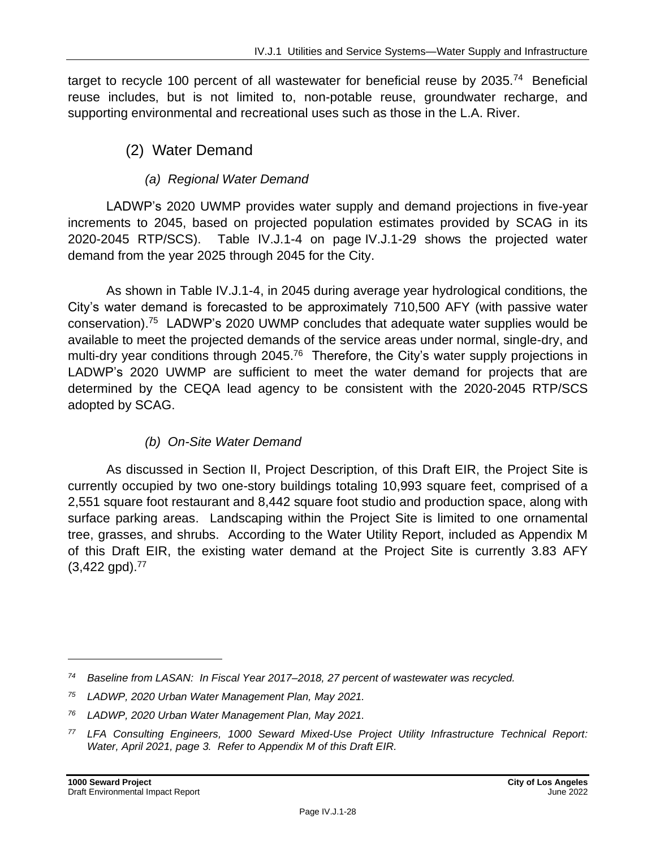target to recycle 100 percent of all wastewater for beneficial reuse by 2035.<sup>74</sup> Beneficial reuse includes, but is not limited to, non-potable reuse, groundwater recharge, and supporting environmental and recreational uses such as those in the L.A. River.

## (2) Water Demand

## *(a) Regional Water Demand*

LADWP's 2020 UWMP provides water supply and demand projections in five-year increments to 2045, based on projected population estimates provided by SCAG in its 2020-2045 RTP/SCS). Table IV.J.1-4 on page IV.J.1-29 shows the projected water demand from the year 2025 through 2045 for the City.

As shown in Table IV.J.1-4, in 2045 during average year hydrological conditions, the City's water demand is forecasted to be approximately 710,500 AFY (with passive water conservation). <sup>75</sup> LADWP's 2020 UWMP concludes that adequate water supplies would be available to meet the projected demands of the service areas under normal, single-dry, and multi-dry year conditions through 2045.<sup>76</sup> Therefore, the City's water supply projections in LADWP's 2020 UWMP are sufficient to meet the water demand for projects that are determined by the CEQA lead agency to be consistent with the 2020-2045 RTP/SCS adopted by SCAG.

## *(b) On-Site Water Demand*

As discussed in Section II, Project Description, of this Draft EIR, the Project Site is currently occupied by two one-story buildings totaling 10,993 square feet, comprised of a 2,551 square foot restaurant and 8,442 square foot studio and production space, along with surface parking areas. Landscaping within the Project Site is limited to one ornamental tree, grasses, and shrubs. According to the Water Utility Report, included as Appendix M of this Draft EIR, the existing water demand at the Project Site is currently 3.83 AFY  $(3,422 \text{ qpd})$ .<sup>77</sup>

*<sup>74</sup> Baseline from LASAN: In Fiscal Year 2017–2018, 27 percent of wastewater was recycled.*

*<sup>75</sup> LADWP, 2020 Urban Water Management Plan, May 2021.*

*<sup>76</sup> LADWP, 2020 Urban Water Management Plan, May 2021.*

*<sup>77</sup> LFA Consulting Engineers, 1000 Seward Mixed-Use Project Utility Infrastructure Technical Report: Water, April 2021, page 3. Refer to Appendix M of this Draft EIR.*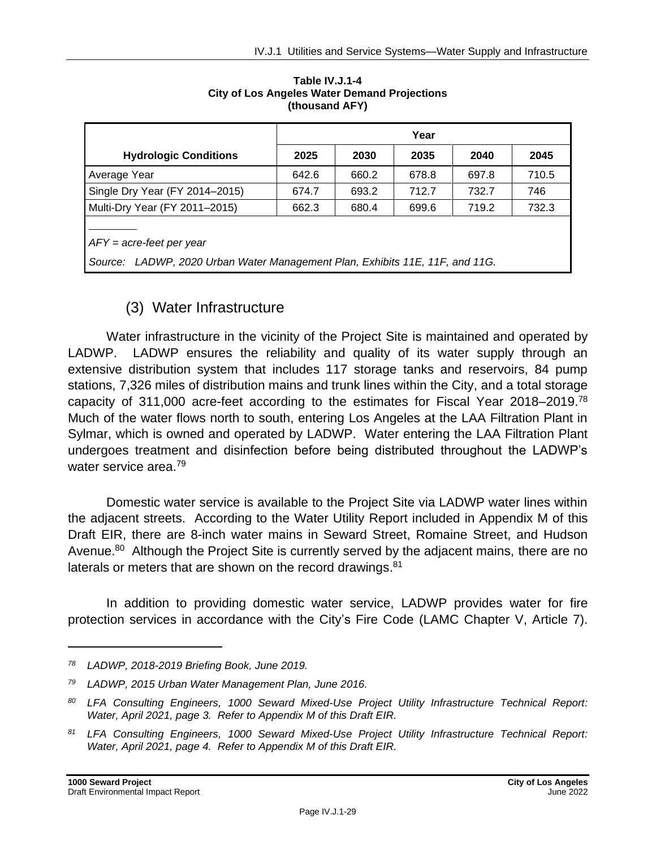|                                                                                                            | Year  |       |       |       |       |  |
|------------------------------------------------------------------------------------------------------------|-------|-------|-------|-------|-------|--|
| <b>Hydrologic Conditions</b>                                                                               | 2025  | 2030  | 2035  | 2040  | 2045  |  |
| Average Year                                                                                               | 642.6 | 660.2 | 678.8 | 697.8 | 710.5 |  |
| Single Dry Year (FY 2014–2015)                                                                             | 674.7 | 693.2 | 712.7 | 732.7 | 746   |  |
| Multi-Dry Year (FY 2011-2015)                                                                              | 662.3 | 680.4 | 699.6 | 719.2 | 732.3 |  |
| $AFY = acre-feet per year$<br>Source: LADWP, 2020 Urban Water Management Plan, Exhibits 11E, 11F, and 11G. |       |       |       |       |       |  |

**Table IV.J.1-4 City of Los Angeles Water Demand Projections (thousand AFY)**

## (3) Water Infrastructure

Water infrastructure in the vicinity of the Project Site is maintained and operated by LADWP. LADWP ensures the reliability and quality of its water supply through an extensive distribution system that includes 117 storage tanks and reservoirs, 84 pump stations, 7,326 miles of distribution mains and trunk lines within the City, and a total storage capacity of 311,000 acre-feet according to the estimates for Fiscal Year 2018–2019.<sup>78</sup> Much of the water flows north to south, entering Los Angeles at the LAA Filtration Plant in Sylmar, which is owned and operated by LADWP. Water entering the LAA Filtration Plant undergoes treatment and disinfection before being distributed throughout the LADWP's water service area.<sup>79</sup>

Domestic water service is available to the Project Site via LADWP water lines within the adjacent streets. According to the Water Utility Report included in Appendix M of this Draft EIR, there are 8-inch water mains in Seward Street, Romaine Street, and Hudson Avenue.<sup>80</sup> Although the Project Site is currently served by the adjacent mains, there are no laterals or meters that are shown on the record drawings.<sup>81</sup>

In addition to providing domestic water service, LADWP provides water for fire protection services in accordance with the City's Fire Code (LAMC Chapter V, Article 7).

*<sup>78</sup> LADWP, 2018-2019 Briefing Book, June 2019.*

*<sup>79</sup> LADWP, 2015 Urban Water Management Plan, June 2016.*

*<sup>80</sup> LFA Consulting Engineers, 1000 Seward Mixed-Use Project Utility Infrastructure Technical Report: Water, April 2021, page 3. Refer to Appendix M of this Draft EIR.*

*<sup>81</sup> LFA Consulting Engineers, 1000 Seward Mixed-Use Project Utility Infrastructure Technical Report: Water, April 2021, page 4. Refer to Appendix M of this Draft EIR.*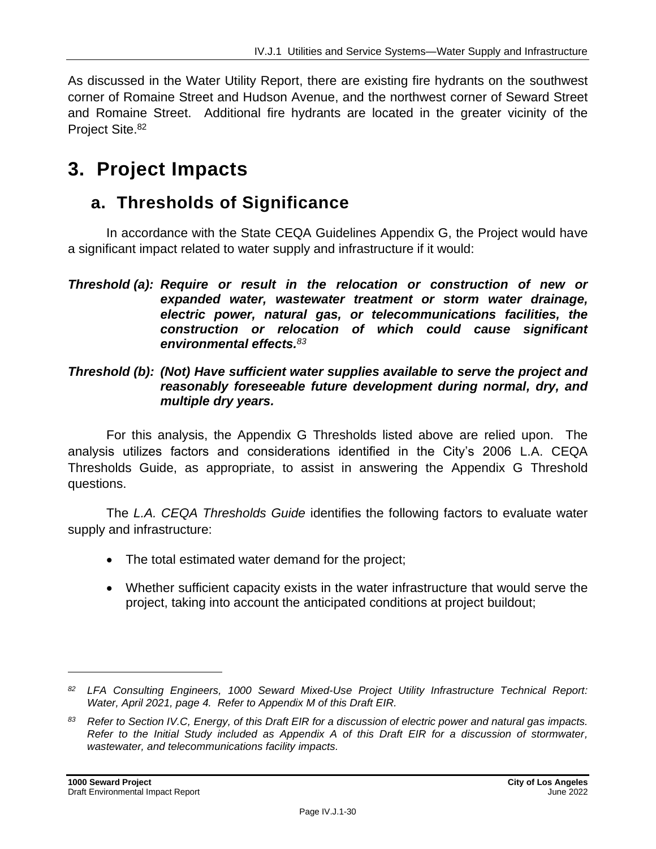As discussed in the Water Utility Report, there are existing fire hydrants on the southwest corner of Romaine Street and Hudson Avenue, and the northwest corner of Seward Street and Romaine Street. Additional fire hydrants are located in the greater vicinity of the Project Site.<sup>82</sup>

# **3. Project Impacts**

# **a. Thresholds of Significance**

In accordance with the State CEQA Guidelines Appendix G, the Project would have a significant impact related to water supply and infrastructure if it would:

*Threshold (b): (Not) Have sufficient water supplies available to serve the project and reasonably foreseeable future development during normal, dry, and multiple dry years.*

For this analysis, the Appendix G Thresholds listed above are relied upon. The analysis utilizes factors and considerations identified in the City's 2006 L.A. CEQA Thresholds Guide, as appropriate, to assist in answering the Appendix G Threshold questions.

The *L.A. CEQA Thresholds Guide* identifies the following factors to evaluate water supply and infrastructure:

- The total estimated water demand for the project;
- Whether sufficient capacity exists in the water infrastructure that would serve the project, taking into account the anticipated conditions at project buildout;

*Threshold (a): Require or result in the relocation or construction of new or expanded water, wastewater treatment or storm water drainage, electric power, natural gas, or telecommunications facilities, the construction or relocation of which could cause significant environmental effects. 83*

*<sup>82</sup> LFA Consulting Engineers, 1000 Seward Mixed-Use Project Utility Infrastructure Technical Report: Water, April 2021, page 4. Refer to Appendix M of this Draft EIR.*

*<sup>83</sup> Refer to Section IV.C, Energy, of this Draft EIR for a discussion of electric power and natural gas impacts. Refer to the Initial Study included as Appendix A of this Draft EIR for a discussion of stormwater, wastewater, and telecommunications facility impacts.*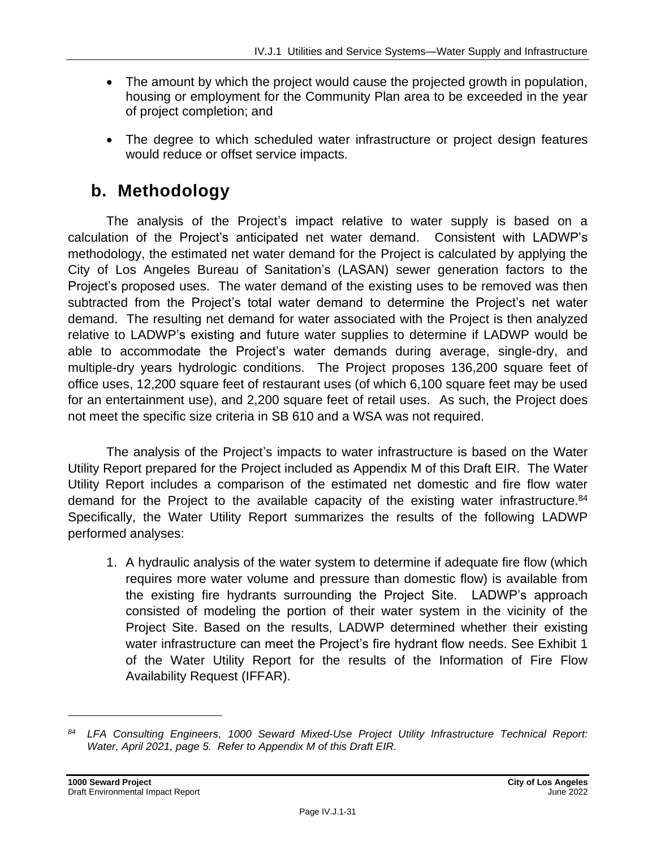- The amount by which the project would cause the projected growth in population, housing or employment for the Community Plan area to be exceeded in the year of project completion; and
- The degree to which scheduled water infrastructure or project design features would reduce or offset service impacts.

# **b. Methodology**

The analysis of the Project's impact relative to water supply is based on a calculation of the Project's anticipated net water demand. Consistent with LADWP's methodology, the estimated net water demand for the Project is calculated by applying the City of Los Angeles Bureau of Sanitation's (LASAN) sewer generation factors to the Project's proposed uses. The water demand of the existing uses to be removed was then subtracted from the Project's total water demand to determine the Project's net water demand. The resulting net demand for water associated with the Project is then analyzed relative to LADWP's existing and future water supplies to determine if LADWP would be able to accommodate the Project's water demands during average, single-dry, and multiple-dry years hydrologic conditions. The Project proposes 136,200 square feet of office uses, 12,200 square feet of restaurant uses (of which 6,100 square feet may be used for an entertainment use), and 2,200 square feet of retail uses. As such, the Project does not meet the specific size criteria in SB 610 and a WSA was not required.

The analysis of the Project's impacts to water infrastructure is based on the Water Utility Report prepared for the Project included as Appendix M of this Draft EIR. The Water Utility Report includes a comparison of the estimated net domestic and fire flow water demand for the Project to the available capacity of the existing water infrastructure.<sup>84</sup> Specifically, the Water Utility Report summarizes the results of the following LADWP performed analyses:

1. A hydraulic analysis of the water system to determine if adequate fire flow (which requires more water volume and pressure than domestic flow) is available from the existing fire hydrants surrounding the Project Site. LADWP's approach consisted of modeling the portion of their water system in the vicinity of the Project Site. Based on the results, LADWP determined whether their existing water infrastructure can meet the Project's fire hydrant flow needs. See Exhibit 1 of the Water Utility Report for the results of the Information of Fire Flow Availability Request (IFFAR).

*<sup>84</sup> LFA Consulting Engineers, 1000 Seward Mixed-Use Project Utility Infrastructure Technical Report: Water, April 2021, page 5. Refer to Appendix M of this Draft EIR.*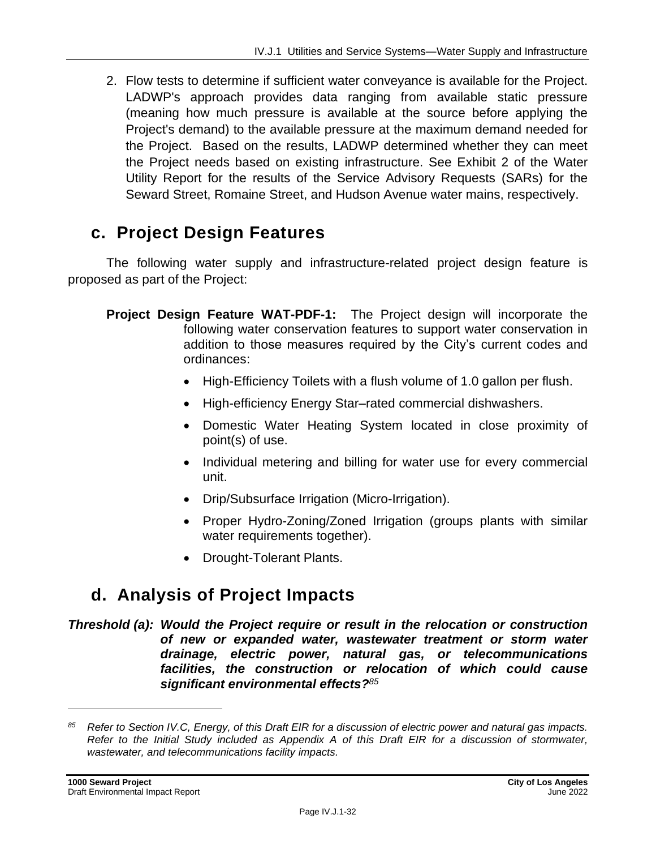2. Flow tests to determine if sufficient water conveyance is available for the Project. LADWP's approach provides data ranging from available static pressure (meaning how much pressure is available at the source before applying the Project's demand) to the available pressure at the maximum demand needed for the Project. Based on the results, LADWP determined whether they can meet the Project needs based on existing infrastructure. See Exhibit 2 of the Water Utility Report for the results of the Service Advisory Requests (SARs) for the Seward Street, Romaine Street, and Hudson Avenue water mains, respectively.

## **c. Project Design Features**

The following water supply and infrastructure-related project design feature is proposed as part of the Project:

- **Project Design Feature WAT-PDF-1:** The Project design will incorporate the following water conservation features to support water conservation in addition to those measures required by the City's current codes and ordinances:
	- High-Efficiency Toilets with a flush volume of 1.0 gallon per flush.
	- High-efficiency Energy Star–rated commercial dishwashers.
	- Domestic Water Heating System located in close proximity of point(s) of use.
	- Individual metering and billing for water use for every commercial unit.
	- Drip/Subsurface Irrigation (Micro-Irrigation).
	- Proper Hydro-Zoning/Zoned Irrigation (groups plants with similar water requirements together).
	- Drought-Tolerant Plants.

# **d. Analysis of Project Impacts**

*Threshold (a): Would the Project require or result in the relocation or construction of new or expanded water, wastewater treatment or storm water drainage, electric power, natural gas, or telecommunications facilities, the construction or relocation of which could cause significant environmental effects?<sup>85</sup>*

*<sup>85</sup> Refer to Section IV.C, Energy, of this Draft EIR for a discussion of electric power and natural gas impacts. Refer to the Initial Study included as Appendix A of this Draft EIR for a discussion of stormwater, wastewater, and telecommunications facility impacts.*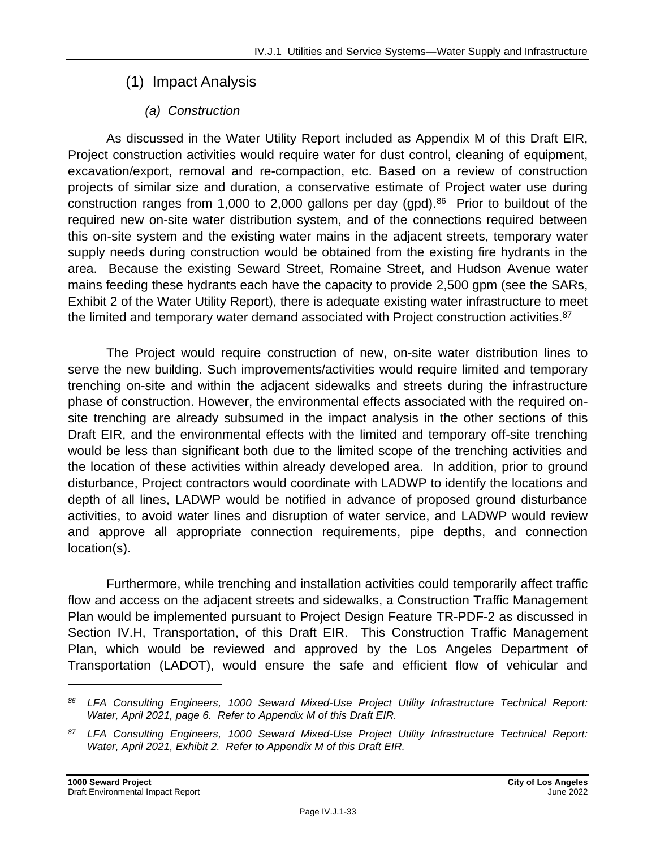## (1) Impact Analysis

## *(a) Construction*

As discussed in the Water Utility Report included as Appendix M of this Draft EIR, Project construction activities would require water for dust control, cleaning of equipment, excavation/export, removal and re-compaction, etc. Based on a review of construction projects of similar size and duration, a conservative estimate of Project water use during construction ranges from 1,000 to 2,000 gallons per day (gpd).<sup>86</sup> Prior to buildout of the required new on-site water distribution system, and of the connections required between this on-site system and the existing water mains in the adjacent streets, temporary water supply needs during construction would be obtained from the existing fire hydrants in the area. Because the existing Seward Street, Romaine Street, and Hudson Avenue water mains feeding these hydrants each have the capacity to provide 2,500 gpm (see the SARs, Exhibit 2 of the Water Utility Report), there is adequate existing water infrastructure to meet the limited and temporary water demand associated with Project construction activities.<sup>87</sup>

The Project would require construction of new, on-site water distribution lines to serve the new building. Such improvements/activities would require limited and temporary trenching on-site and within the adjacent sidewalks and streets during the infrastructure phase of construction. However, the environmental effects associated with the required onsite trenching are already subsumed in the impact analysis in the other sections of this Draft EIR, and the environmental effects with the limited and temporary off-site trenching would be less than significant both due to the limited scope of the trenching activities and the location of these activities within already developed area. In addition, prior to ground disturbance, Project contractors would coordinate with LADWP to identify the locations and depth of all lines, LADWP would be notified in advance of proposed ground disturbance activities, to avoid water lines and disruption of water service, and LADWP would review and approve all appropriate connection requirements, pipe depths, and connection location(s).

Furthermore, while trenching and installation activities could temporarily affect traffic flow and access on the adjacent streets and sidewalks, a Construction Traffic Management Plan would be implemented pursuant to Project Design Feature TR-PDF-2 as discussed in Section IV.H, Transportation, of this Draft EIR. This Construction Traffic Management Plan, which would be reviewed and approved by the Los Angeles Department of Transportation (LADOT), would ensure the safe and efficient flow of vehicular and

*<sup>86</sup> LFA Consulting Engineers, 1000 Seward Mixed-Use Project Utility Infrastructure Technical Report: Water, April 2021, page 6. Refer to Appendix M of this Draft EIR.*

*<sup>87</sup> LFA Consulting Engineers, 1000 Seward Mixed-Use Project Utility Infrastructure Technical Report: Water, April 2021, Exhibit 2. Refer to Appendix M of this Draft EIR.*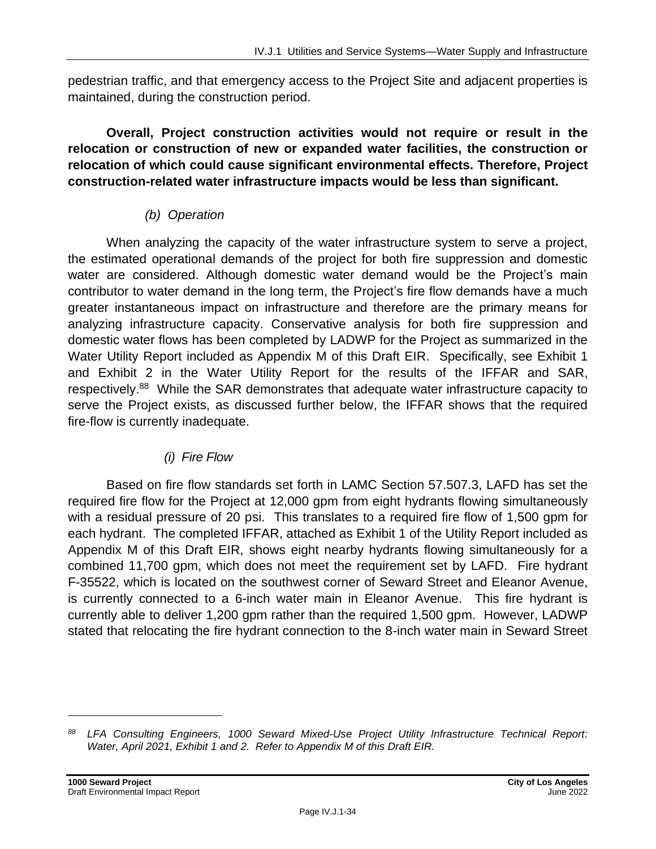pedestrian traffic, and that emergency access to the Project Site and adjacent properties is maintained, during the construction period.

**Overall, Project construction activities would not require or result in the relocation or construction of new or expanded water facilities, the construction or relocation of which could cause significant environmental effects. Therefore, Project construction-related water infrastructure impacts would be less than significant.**

## *(b) Operation*

When analyzing the capacity of the water infrastructure system to serve a project, the estimated operational demands of the project for both fire suppression and domestic water are considered. Although domestic water demand would be the Project's main contributor to water demand in the long term, the Project's fire flow demands have a much greater instantaneous impact on infrastructure and therefore are the primary means for analyzing infrastructure capacity. Conservative analysis for both fire suppression and domestic water flows has been completed by LADWP for the Project as summarized in the Water Utility Report included as Appendix M of this Draft EIR. Specifically, see Exhibit 1 and Exhibit 2 in the Water Utility Report for the results of the IFFAR and SAR, respectively.<sup>88</sup> While the SAR demonstrates that adequate water infrastructure capacity to serve the Project exists, as discussed further below, the IFFAR shows that the required fire-flow is currently inadequate.

## *(i) Fire Flow*

Based on fire flow standards set forth in LAMC Section 57.507.3, LAFD has set the required fire flow for the Project at 12,000 gpm from eight hydrants flowing simultaneously with a residual pressure of 20 psi. This translates to a required fire flow of 1,500 gpm for each hydrant. The completed IFFAR, attached as Exhibit 1 of the Utility Report included as Appendix M of this Draft EIR, shows eight nearby hydrants flowing simultaneously for a combined 11,700 gpm, which does not meet the requirement set by LAFD. Fire hydrant F-35522, which is located on the southwest corner of Seward Street and Eleanor Avenue, is currently connected to a 6-inch water main in Eleanor Avenue. This fire hydrant is currently able to deliver 1,200 gpm rather than the required 1,500 gpm. However, LADWP stated that relocating the fire hydrant connection to the 8-inch water main in Seward Street

*<sup>88</sup> LFA Consulting Engineers, 1000 Seward Mixed-Use Project Utility Infrastructure Technical Report: Water, April 2021, Exhibit 1 and 2. Refer to Appendix M of this Draft EIR.*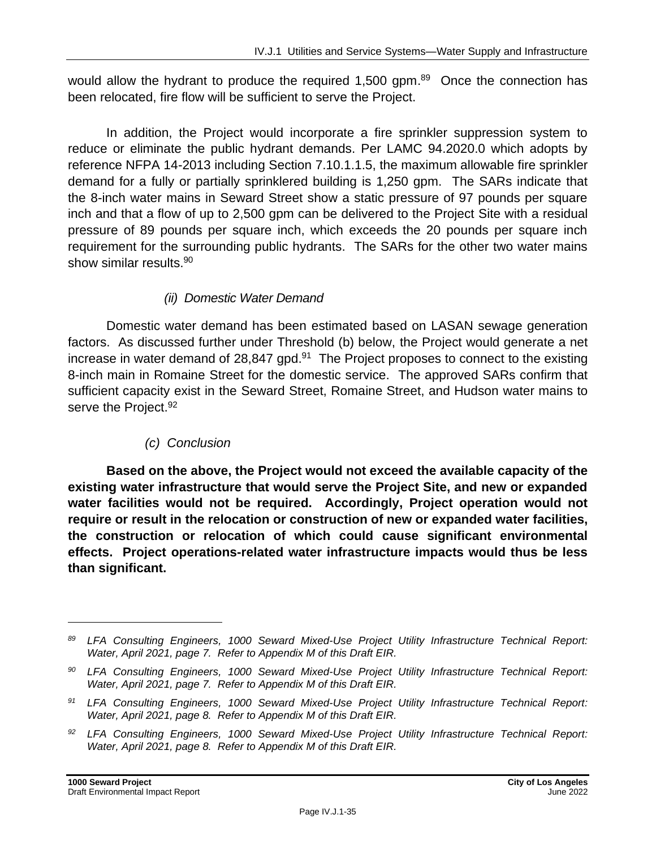would allow the hydrant to produce the required  $1,500$  gpm. $89$  Once the connection has been relocated, fire flow will be sufficient to serve the Project.

In addition, the Project would incorporate a fire sprinkler suppression system to reduce or eliminate the public hydrant demands. Per LAMC 94.2020.0 which adopts by reference NFPA 14-2013 including Section 7.10.1.1.5, the maximum allowable fire sprinkler demand for a fully or partially sprinklered building is 1,250 gpm. The SARs indicate that the 8-inch water mains in Seward Street show a static pressure of 97 pounds per square inch and that a flow of up to 2,500 gpm can be delivered to the Project Site with a residual pressure of 89 pounds per square inch, which exceeds the 20 pounds per square inch requirement for the surrounding public hydrants. The SARs for the other two water mains show similar results. 90

#### *(ii) Domestic Water Demand*

Domestic water demand has been estimated based on LASAN sewage generation factors. As discussed further under Threshold (b) below, the Project would generate a net increase in water demand of 28,847 gpd.<sup>91</sup> The Project proposes to connect to the existing 8-inch main in Romaine Street for the domestic service. The approved SARs confirm that sufficient capacity exist in the Seward Street, Romaine Street, and Hudson water mains to serve the Project.<sup>92</sup>

## *(c) Conclusion*

**Based on the above, the Project would not exceed the available capacity of the existing water infrastructure that would serve the Project Site, and new or expanded water facilities would not be required. Accordingly, Project operation would not require or result in the relocation or construction of new or expanded water facilities, the construction or relocation of which could cause significant environmental effects. Project operations-related water infrastructure impacts would thus be less than significant.**

*<sup>89</sup> LFA Consulting Engineers, 1000 Seward Mixed-Use Project Utility Infrastructure Technical Report: Water, April 2021, page 7. Refer to Appendix M of this Draft EIR.*

*<sup>90</sup> LFA Consulting Engineers, 1000 Seward Mixed-Use Project Utility Infrastructure Technical Report: Water, April 2021, page 7. Refer to Appendix M of this Draft EIR.*

*<sup>91</sup> LFA Consulting Engineers, 1000 Seward Mixed-Use Project Utility Infrastructure Technical Report: Water, April 2021, page 8. Refer to Appendix M of this Draft EIR.*

*<sup>92</sup> LFA Consulting Engineers, 1000 Seward Mixed-Use Project Utility Infrastructure Technical Report: Water, April 2021, page 8. Refer to Appendix M of this Draft EIR.*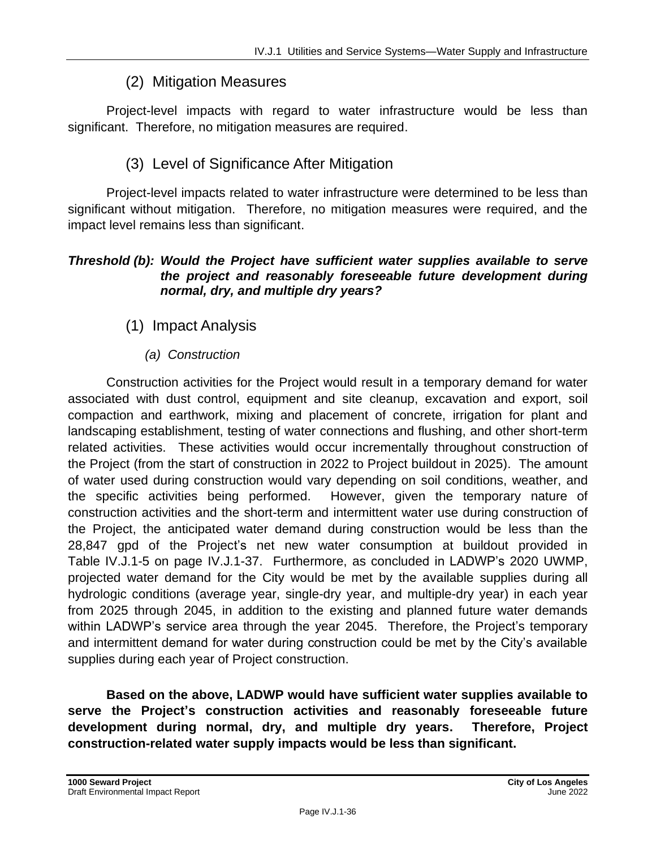## (2) Mitigation Measures

Project-level impacts with regard to water infrastructure would be less than significant. Therefore, no mitigation measures are required.

## (3) Level of Significance After Mitigation

Project-level impacts related to water infrastructure were determined to be less than significant without mitigation. Therefore, no mitigation measures were required, and the impact level remains less than significant.

#### *Threshold (b): Would the Project have sufficient water supplies available to serve the project and reasonably foreseeable future development during normal, dry, and multiple dry years?*

(1) Impact Analysis

#### *(a) Construction*

Construction activities for the Project would result in a temporary demand for water associated with dust control, equipment and site cleanup, excavation and export, soil compaction and earthwork, mixing and placement of concrete, irrigation for plant and landscaping establishment, testing of water connections and flushing, and other short-term related activities. These activities would occur incrementally throughout construction of the Project (from the start of construction in 2022 to Project buildout in 2025). The amount of water used during construction would vary depending on soil conditions, weather, and the specific activities being performed. However, given the temporary nature of construction activities and the short-term and intermittent water use during construction of the Project, the anticipated water demand during construction would be less than the 28,847 gpd of the Project's net new water consumption at buildout provided in Table IV.J.1-5 on page IV.J.1-37. Furthermore, as concluded in LADWP's 2020 UWMP, projected water demand for the City would be met by the available supplies during all hydrologic conditions (average year, single-dry year, and multiple-dry year) in each year from 2025 through 2045, in addition to the existing and planned future water demands within LADWP's service area through the year 2045. Therefore, the Project's temporary and intermittent demand for water during construction could be met by the City's available supplies during each year of Project construction.

**Based on the above, LADWP would have sufficient water supplies available to serve the Project's construction activities and reasonably foreseeable future development during normal, dry, and multiple dry years. Therefore, Project construction-related water supply impacts would be less than significant.**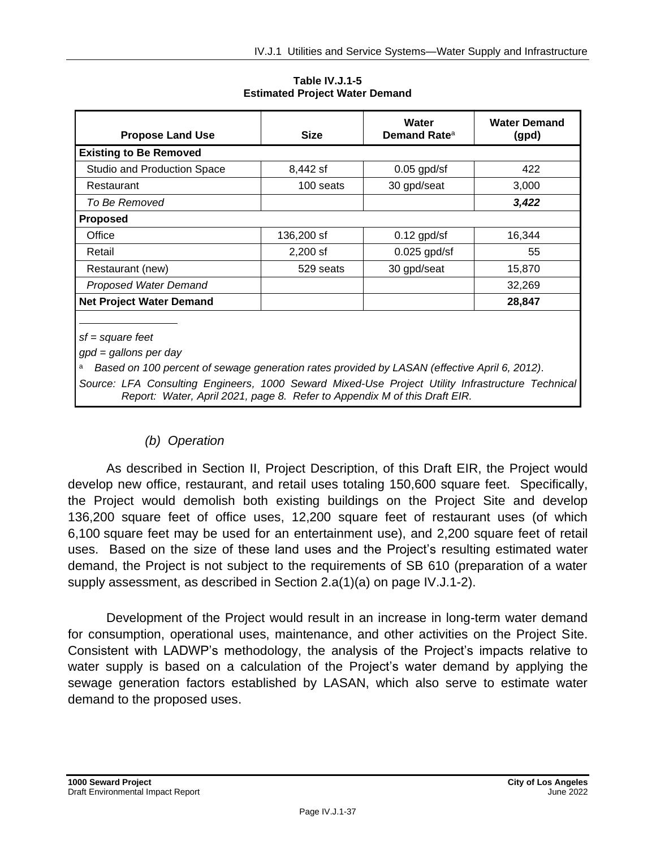**Table IV.J.1-5 Estimated Project Water Demand**

| <b>Propose Land Use</b>            | <b>Size</b> | Water<br>Demand Rate <sup>a</sup> | <b>Water Demand</b><br>(gpd) |
|------------------------------------|-------------|-----------------------------------|------------------------------|
| <b>Existing to Be Removed</b>      |             |                                   |                              |
| <b>Studio and Production Space</b> | 8,442 sf    | $0.05$ gpd/sf                     | 422                          |
| Restaurant                         | 100 seats   | 30 gpd/seat                       | 3,000                        |
| To Be Removed                      |             |                                   | 3,422                        |
| <b>Proposed</b>                    |             |                                   |                              |
| Office                             | 136,200 sf  | $0.12$ gpd/sf                     | 16,344                       |
| Retail                             | $2,200$ sf  | $0.025$ gpd/sf                    | 55                           |
| Restaurant (new)                   | 529 seats   | 30 gpd/seat                       | 15,870                       |
| Proposed Water Demand              |             |                                   | 32,269                       |
| <b>Net Project Water Demand</b>    |             |                                   | 28,847                       |

*sf = square feet*

*gpd = gallons per day*

<sup>a</sup> *Based on 100 percent of sewage generation rates provided by LASAN (effective April 6, 2012)*.

*Source: LFA Consulting Engineers, 1000 Seward Mixed-Use Project Utility Infrastructure Technical Report: Water, April 2021, page 8. Refer to Appendix M of this Draft EIR.*

#### *(b) Operation*

As described in Section II, Project Description, of this Draft EIR, the Project would develop new office, restaurant, and retail uses totaling 150,600 square feet. Specifically, the Project would demolish both existing buildings on the Project Site and develop 136,200 square feet of office uses, 12,200 square feet of restaurant uses (of which 6,100 square feet may be used for an entertainment use), and 2,200 square feet of retail uses. Based on the size of these land uses and the Project's resulting estimated water demand, the Project is not subject to the requirements of SB 610 (preparation of a water supply assessment, as described in Section 2.a(1)(a) on page IV.J.1-2).

Development of the Project would result in an increase in long-term water demand for consumption, operational uses, maintenance, and other activities on the Project Site. Consistent with LADWP's methodology, the analysis of the Project's impacts relative to water supply is based on a calculation of the Project's water demand by applying the sewage generation factors established by LASAN, which also serve to estimate water demand to the proposed uses.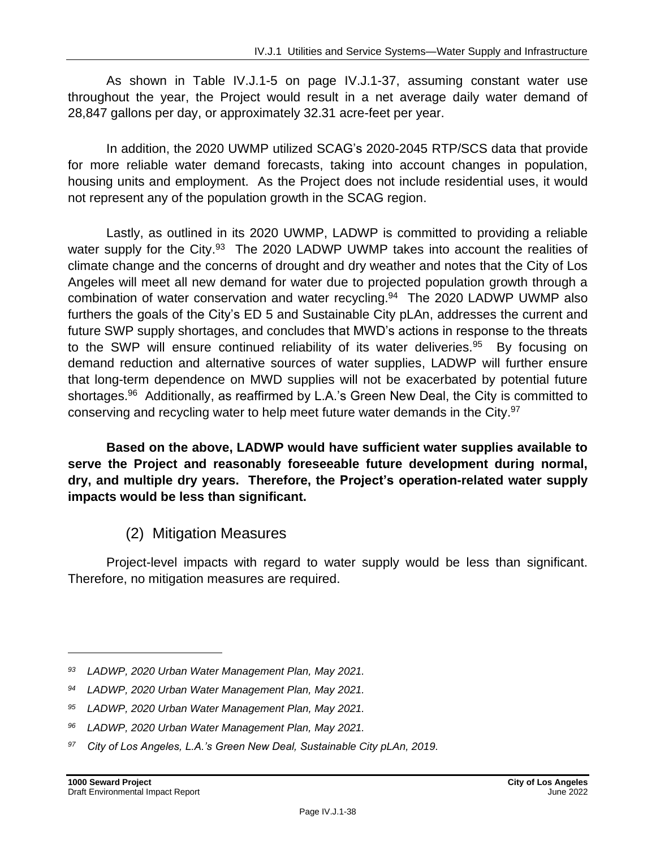As shown in Table IV.J.1-5 on page IV.J.1-37, assuming constant water use throughout the year, the Project would result in a net average daily water demand of 28,847 gallons per day, or approximately 32.31 acre-feet per year.

In addition, the 2020 UWMP utilized SCAG's 2020-2045 RTP/SCS data that provide for more reliable water demand forecasts, taking into account changes in population, housing units and employment. As the Project does not include residential uses, it would not represent any of the population growth in the SCAG region.

Lastly, as outlined in its 2020 UWMP, LADWP is committed to providing a reliable water supply for the City.<sup>93</sup> The 2020 LADWP UWMP takes into account the realities of climate change and the concerns of drought and dry weather and notes that the City of Los Angeles will meet all new demand for water due to projected population growth through a combination of water conservation and water recycling.<sup>94</sup> The 2020 LADWP UWMP also furthers the goals of the City's ED 5 and Sustainable City pLAn, addresses the current and future SWP supply shortages, and concludes that MWD's actions in response to the threats to the SWP will ensure continued reliability of its water deliveries.<sup>95</sup> By focusing on demand reduction and alternative sources of water supplies, LADWP will further ensure that long-term dependence on MWD supplies will not be exacerbated by potential future shortages.<sup>96</sup> Additionally, as reaffirmed by L.A.'s Green New Deal, the City is committed to conserving and recycling water to help meet future water demands in the City.<sup>97</sup>

**Based on the above, LADWP would have sufficient water supplies available to serve the Project and reasonably foreseeable future development during normal, dry, and multiple dry years. Therefore, the Project's operation-related water supply impacts would be less than significant.**

(2) Mitigation Measures

Project-level impacts with regard to water supply would be less than significant. Therefore, no mitigation measures are required.

*<sup>93</sup> LADWP, 2020 Urban Water Management Plan, May 2021.*

*<sup>94</sup> LADWP, 2020 Urban Water Management Plan, May 2021.*

*<sup>95</sup> LADWP, 2020 Urban Water Management Plan, May 2021.*

*<sup>96</sup> LADWP, 2020 Urban Water Management Plan, May 2021.*

*<sup>97</sup> City of Los Angeles, L.A.'s Green New Deal, Sustainable City pLAn, 2019.*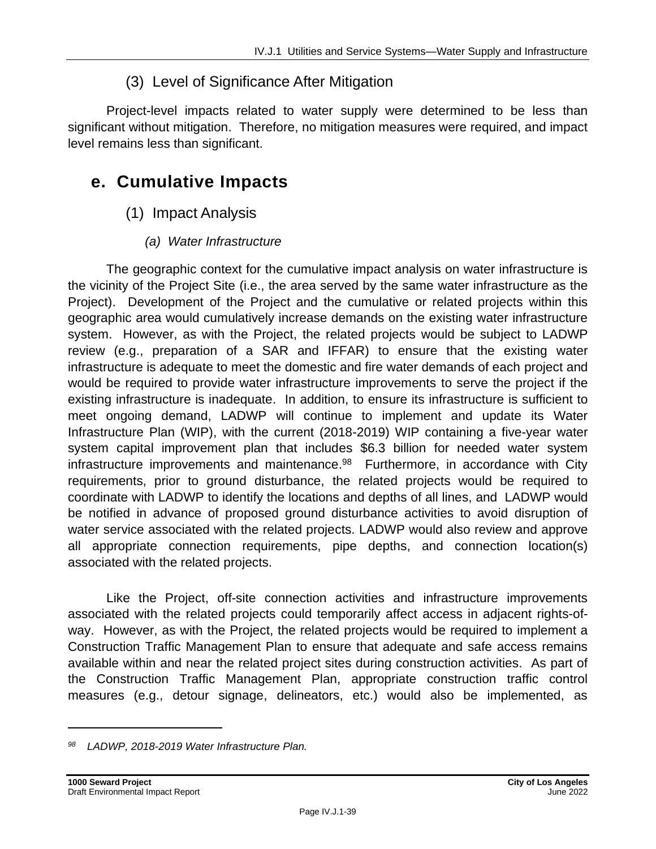## (3) Level of Significance After Mitigation

Project-level impacts related to water supply were determined to be less than significant without mitigation. Therefore, no mitigation measures were required, and impact level remains less than significant.

# **e. Cumulative Impacts**

(1) Impact Analysis

## *(a) Water Infrastructure*

The geographic context for the cumulative impact analysis on water infrastructure is the vicinity of the Project Site (i.e., the area served by the same water infrastructure as the Project). Development of the Project and the cumulative or related projects within this geographic area would cumulatively increase demands on the existing water infrastructure system. However, as with the Project, the related projects would be subject to LADWP review (e.g., preparation of a SAR and IFFAR) to ensure that the existing water infrastructure is adequate to meet the domestic and fire water demands of each project and would be required to provide water infrastructure improvements to serve the project if the existing infrastructure is inadequate. In addition, to ensure its infrastructure is sufficient to meet ongoing demand, LADWP will continue to implement and update its Water Infrastructure Plan (WIP), with the current (2018-2019) WIP containing a five-year water system capital improvement plan that includes \$6.3 billion for needed water system infrastructure improvements and maintenance.<sup>98</sup> Furthermore, in accordance with City requirements, prior to ground disturbance, the related projects would be required to coordinate with LADWP to identify the locations and depths of all lines, and LADWP would be notified in advance of proposed ground disturbance activities to avoid disruption of water service associated with the related projects. LADWP would also review and approve all appropriate connection requirements, pipe depths, and connection location(s) associated with the related projects.

Like the Project, off-site connection activities and infrastructure improvements associated with the related projects could temporarily affect access in adjacent rights-ofway. However, as with the Project, the related projects would be required to implement a Construction Traffic Management Plan to ensure that adequate and safe access remains available within and near the related project sites during construction activities. As part of the Construction Traffic Management Plan, appropriate construction traffic control measures (e.g., detour signage, delineators, etc.) would also be implemented, as

*<sup>98</sup> LADWP, 2018-2019 Water Infrastructure Plan.*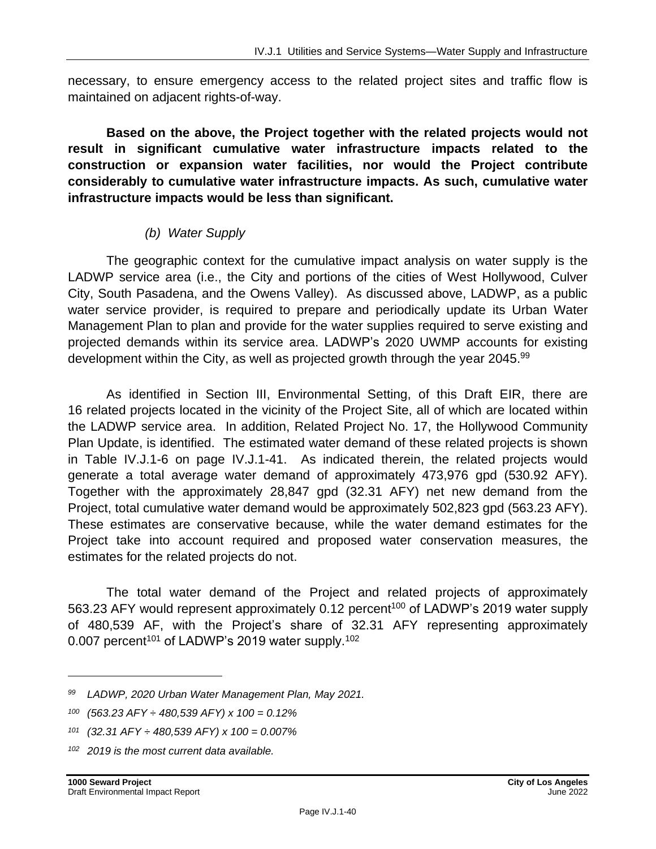necessary, to ensure emergency access to the related project sites and traffic flow is maintained on adjacent rights-of-way.

**Based on the above, the Project together with the related projects would not result in significant cumulative water infrastructure impacts related to the construction or expansion water facilities, nor would the Project contribute considerably to cumulative water infrastructure impacts. As such, cumulative water infrastructure impacts would be less than significant.**

## *(b) Water Supply*

The geographic context for the cumulative impact analysis on water supply is the LADWP service area (i.e., the City and portions of the cities of West Hollywood, Culver City, South Pasadena, and the Owens Valley). As discussed above, LADWP, as a public water service provider, is required to prepare and periodically update its Urban Water Management Plan to plan and provide for the water supplies required to serve existing and projected demands within its service area. LADWP's 2020 UWMP accounts for existing development within the City, as well as projected growth through the year 2045.<sup>99</sup>

As identified in Section III, Environmental Setting, of this Draft EIR, there are 16 related projects located in the vicinity of the Project Site, all of which are located within the LADWP service area. In addition, Related Project No. 17, the Hollywood Community Plan Update, is identified. The estimated water demand of these related projects is shown in Table IV.J.1-6 on page IV.J.1-41. As indicated therein, the related projects would generate a total average water demand of approximately 473,976 gpd (530.92 AFY). Together with the approximately 28,847 gpd (32.31 AFY) net new demand from the Project, total cumulative water demand would be approximately 502,823 gpd (563.23 AFY). These estimates are conservative because, while the water demand estimates for the Project take into account required and proposed water conservation measures, the estimates for the related projects do not.

The total water demand of the Project and related projects of approximately 563.23 AFY would represent approximately 0.12 percent<sup>100</sup> of LADWP's 2019 water supply of 480,539 AF, with the Project's share of 32.31 AFY representing approximately 0.007 percent<sup>101</sup> of LADWP's 2019 water supply.<sup>102</sup>

*<sup>102</sup> 2019 is the most current data available.*

*<sup>99</sup> LADWP, 2020 Urban Water Management Plan, May 2021.*

*<sup>100</sup> (563.23 AFY ÷ 480,539 AFY) x 100 = 0.12%*

*<sup>101</sup> (32.31 AFY ÷ 480,539 AFY) x 100 = 0.007%*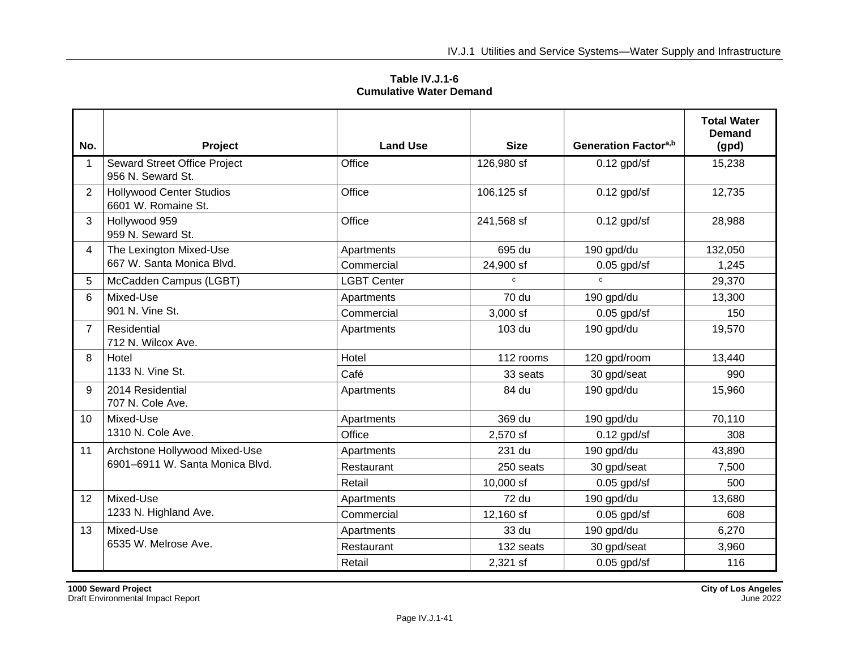**Table IV.J.1-6 Cumulative Water Demand**

| No.            | Project                                                | <b>Land Use</b>    | <b>Size</b>  | Generation Factora,b | <b>Total Water</b><br><b>Demand</b><br>(gpd) |
|----------------|--------------------------------------------------------|--------------------|--------------|----------------------|----------------------------------------------|
| 1              | Seward Street Office Project<br>956 N. Seward St.      | Office             | 126,980 sf   | $0.12$ gpd/sf        | 15,238                                       |
| $\overline{2}$ | <b>Hollywood Center Studios</b><br>6601 W. Romaine St. | Office             | 106,125 sf   | $0.12$ gpd/sf        | 12,735                                       |
| 3              | Hollywood 959<br>959 N. Seward St.                     | Office             | 241,568 sf   | $0.12$ gpd/sf        | 28,988                                       |
| 4              | The Lexington Mixed-Use                                | Apartments         | 695 du       | 190 gpd/du           | 132,050                                      |
|                | 667 W. Santa Monica Blvd.                              | Commercial         | 24,900 sf    | $0.05$ gpd/sf        | 1,245                                        |
| 5              | McCadden Campus (LGBT)                                 | <b>LGBT Center</b> | c            | $\mathbf{c}$         | 29,370                                       |
| 6              | Mixed-Use                                              | Apartments         | 70 du        | 190 gpd/du           | 13,300                                       |
|                | 901 N. Vine St.                                        | Commercial         | 3,000 sf     | $0.05$ gpd/sf        | 150                                          |
| 7              | Residential<br>712 N. Wilcox Ave.                      | Apartments         | 103 du       | 190 gpd/du           | 19,570                                       |
| 8              | Hotel                                                  | Hotel              | 112 rooms    | 120 gpd/room         | 13,440                                       |
|                | 1133 N. Vine St.                                       | Café               | 33 seats     | 30 gpd/seat          | 990                                          |
| 9              | 2014 Residential<br>707 N. Cole Ave.                   | Apartments         | 84 du        | 190 gpd/du           | 15,960                                       |
| 10             | Mixed-Use                                              | Apartments         | 369 du       | 190 gpd/du           | 70,110                                       |
|                | 1310 N. Cole Ave.                                      | Office             | 2,570 sf     | $0.12$ gpd/sf        | 308                                          |
| 11             | Archstone Hollywood Mixed-Use                          | Apartments         | 231 du       | 190 gpd/du           | 43,890                                       |
|                | 6901-6911 W. Santa Monica Blvd.                        | Restaurant         | 250 seats    | 30 gpd/seat          | 7,500                                        |
|                |                                                        | Retail             | 10,000 sf    | $0.05$ gpd/sf        | 500                                          |
| 12             | Mixed-Use                                              | Apartments         | <b>72 du</b> | 190 gpd/du           | 13,680                                       |
|                | 1233 N. Highland Ave.                                  | Commercial         | 12,160 sf    | $0.05$ gpd/sf        | 608                                          |
| 13             | Mixed-Use                                              | Apartments         | 33 du        | 190 gpd/du           | 6,270                                        |
|                | 6535 W. Melrose Ave.                                   | Restaurant         | 132 seats    | 30 gpd/seat          | 3,960                                        |
|                |                                                        | Retail             | 2,321 sf     | $0.05$ gpd/sf        | 116                                          |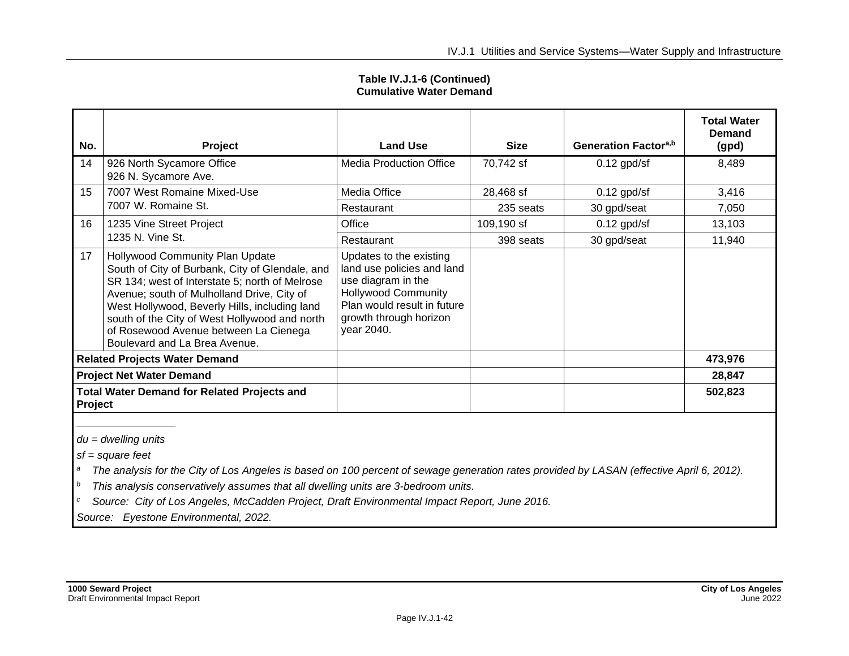| No.                                                           | Project                                                                                                                                                                                                                                                                                                                                                        | <b>Land Use</b>                                                                                                                                                                  | <b>Size</b> | Generation Factor <sup>a,b</sup> | <b>Total Water</b><br>Demand<br>(gpd) |
|---------------------------------------------------------------|----------------------------------------------------------------------------------------------------------------------------------------------------------------------------------------------------------------------------------------------------------------------------------------------------------------------------------------------------------------|----------------------------------------------------------------------------------------------------------------------------------------------------------------------------------|-------------|----------------------------------|---------------------------------------|
| 14                                                            | 926 North Sycamore Office<br>926 N. Sycamore Ave.                                                                                                                                                                                                                                                                                                              | <b>Media Production Office</b>                                                                                                                                                   | 70,742 sf   | $0.12$ gpd/sf                    | 8,489                                 |
| 15                                                            | 7007 West Romaine Mixed-Use                                                                                                                                                                                                                                                                                                                                    | Media Office                                                                                                                                                                     | 28,468 sf   | $0.12$ gpd/sf                    | 3,416                                 |
|                                                               | 7007 W. Romaine St.                                                                                                                                                                                                                                                                                                                                            | Restaurant                                                                                                                                                                       | 235 seats   | 30 gpd/seat                      | 7,050                                 |
| 16                                                            | 1235 Vine Street Project                                                                                                                                                                                                                                                                                                                                       | Office                                                                                                                                                                           | 109,190 sf  | $0.12$ gpd/sf                    | 13,103                                |
|                                                               | 1235 N. Vine St.                                                                                                                                                                                                                                                                                                                                               | Restaurant                                                                                                                                                                       | 398 seats   | 30 gpd/seat                      | 11,940                                |
| 17                                                            | Hollywood Community Plan Update<br>South of City of Burbank, City of Glendale, and<br>SR 134; west of Interstate 5; north of Melrose<br>Avenue; south of Mulholland Drive, City of<br>West Hollywood, Beverly Hills, including land<br>south of the City of West Hollywood and north<br>of Rosewood Avenue between La Cienega<br>Boulevard and La Brea Avenue. | Updates to the existing<br>land use policies and land<br>use diagram in the<br><b>Hollywood Community</b><br>Plan would result in future<br>growth through horizon<br>year 2040. |             |                                  |                                       |
| <b>Related Projects Water Demand</b>                          |                                                                                                                                                                                                                                                                                                                                                                |                                                                                                                                                                                  |             |                                  | 473,976                               |
| <b>Project Net Water Demand</b>                               |                                                                                                                                                                                                                                                                                                                                                                |                                                                                                                                                                                  |             |                                  | 28,847                                |
| <b>Total Water Demand for Related Projects and</b><br>Project |                                                                                                                                                                                                                                                                                                                                                                |                                                                                                                                                                                  |             |                                  | 502,823                               |

**Table IV.J.1-6 (Continued) Cumulative Water Demand**

*du = dwelling units*

*sf = square feet*

<sup>a</sup> The analysis for the City of Los Angeles is based on 100 percent of sewage generation rates provided by LASAN (effective April 6, 2012).

*<sup>b</sup> This analysis conservatively assumes that all dwelling units are 3-bedroom units.*

*<sup>c</sup> Source: City of Los Angeles, McCadden Project, Draft Environmental Impact Report, June 2016.*

*Source: Eyestone Environmental, 2022.*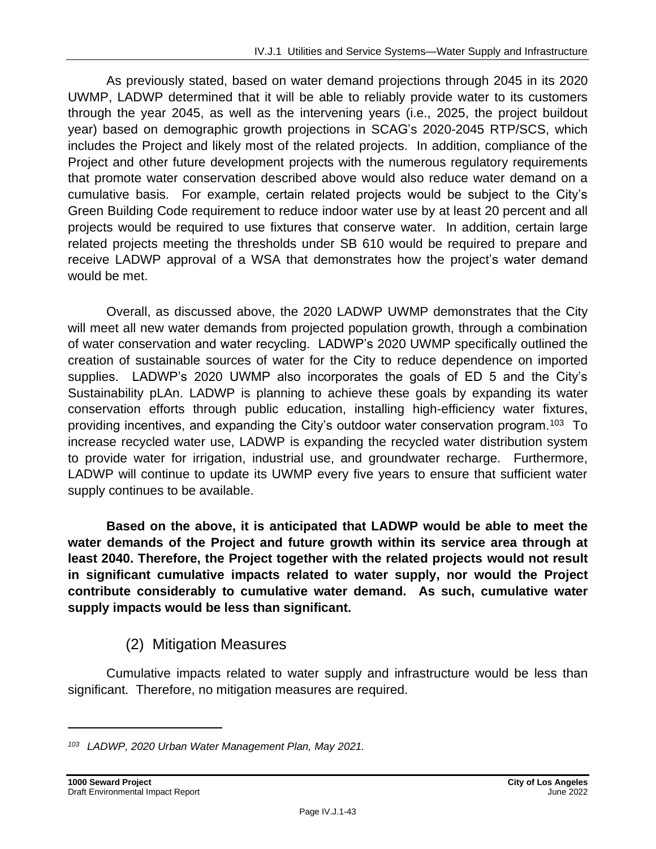As previously stated, based on water demand projections through 2045 in its 2020 UWMP, LADWP determined that it will be able to reliably provide water to its customers through the year 2045, as well as the intervening years (i.e., 2025, the project buildout year) based on demographic growth projections in SCAG's 2020-2045 RTP/SCS, which includes the Project and likely most of the related projects. In addition, compliance of the Project and other future development projects with the numerous regulatory requirements that promote water conservation described above would also reduce water demand on a cumulative basis. For example, certain related projects would be subject to the City's Green Building Code requirement to reduce indoor water use by at least 20 percent and all projects would be required to use fixtures that conserve water. In addition, certain large related projects meeting the thresholds under SB 610 would be required to prepare and receive LADWP approval of a WSA that demonstrates how the project's water demand would be met.

Overall, as discussed above, the 2020 LADWP UWMP demonstrates that the City will meet all new water demands from projected population growth, through a combination of water conservation and water recycling. LADWP's 2020 UWMP specifically outlined the creation of sustainable sources of water for the City to reduce dependence on imported supplies. LADWP's 2020 UWMP also incorporates the goals of ED 5 and the City's Sustainability pLAn. LADWP is planning to achieve these goals by expanding its water conservation efforts through public education, installing high-efficiency water fixtures, providing incentives, and expanding the City's outdoor water conservation program.<sup>103</sup> To increase recycled water use, LADWP is expanding the recycled water distribution system to provide water for irrigation, industrial use, and groundwater recharge. Furthermore, LADWP will continue to update its UWMP every five years to ensure that sufficient water supply continues to be available.

**Based on the above, it is anticipated that LADWP would be able to meet the water demands of the Project and future growth within its service area through at least 2040. Therefore, the Project together with the related projects would not result in significant cumulative impacts related to water supply, nor would the Project contribute considerably to cumulative water demand. As such, cumulative water supply impacts would be less than significant.**

## (2) Mitigation Measures

Cumulative impacts related to water supply and infrastructure would be less than significant. Therefore, no mitigation measures are required.

*<sup>103</sup> LADWP, 2020 Urban Water Management Plan, May 2021.*